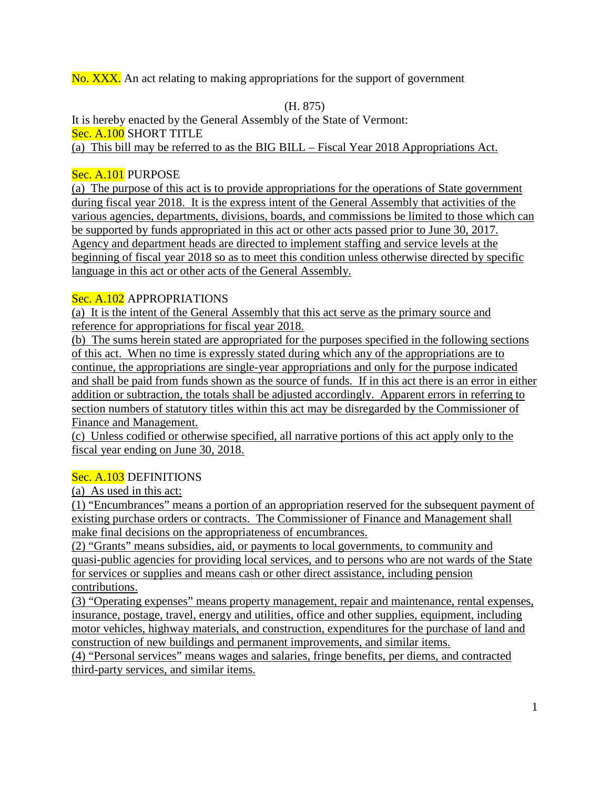No. XXX. An act relating to making appropriations for the support of government

(H. 875)

It is hereby enacted by the General Assembly of the State of Vermont: Sec. A.100 SHORT TITLE (a) This bill may be referred to as the BIG BILL – Fiscal Year 2018 Appropriations Act.

## Sec. A.101 PURPOSE

(a) The purpose of this act is to provide appropriations for the operations of State government during fiscal year 2018. It is the express intent of the General Assembly that activities of the various agencies, departments, divisions, boards, and commissions be limited to those which can be supported by funds appropriated in this act or other acts passed prior to June 30, 2017. Agency and department heads are directed to implement staffing and service levels at the beginning of fiscal year 2018 so as to meet this condition unless otherwise directed by specific language in this act or other acts of the General Assembly.

## Sec. A.102 APPROPRIATIONS

(a) It is the intent of the General Assembly that this act serve as the primary source and reference for appropriations for fiscal year 2018.

(b) The sums herein stated are appropriated for the purposes specified in the following sections of this act. When no time is expressly stated during which any of the appropriations are to continue, the appropriations are single-year appropriations and only for the purpose indicated and shall be paid from funds shown as the source of funds. If in this act there is an error in either addition or subtraction, the totals shall be adjusted accordingly. Apparent errors in referring to section numbers of statutory titles within this act may be disregarded by the Commissioner of Finance and Management.

(c) Unless codified or otherwise specified, all narrative portions of this act apply only to the fiscal year ending on June 30, 2018.

# Sec. A.103 DEFINITIONS

(a) As used in this act:

(1) "Encumbrances" means a portion of an appropriation reserved for the subsequent payment of existing purchase orders or contracts. The Commissioner of Finance and Management shall make final decisions on the appropriateness of encumbrances.

(2) "Grants" means subsidies, aid, or payments to local governments, to community and quasi-public agencies for providing local services, and to persons who are not wards of the State for services or supplies and means cash or other direct assistance, including pension contributions.

(3) "Operating expenses" means property management, repair and maintenance, rental expenses, insurance, postage, travel, energy and utilities, office and other supplies, equipment, including motor vehicles, highway materials, and construction, expenditures for the purchase of land and construction of new buildings and permanent improvements, and similar items.

(4) "Personal services" means wages and salaries, fringe benefits, per diems, and contracted third-party services, and similar items.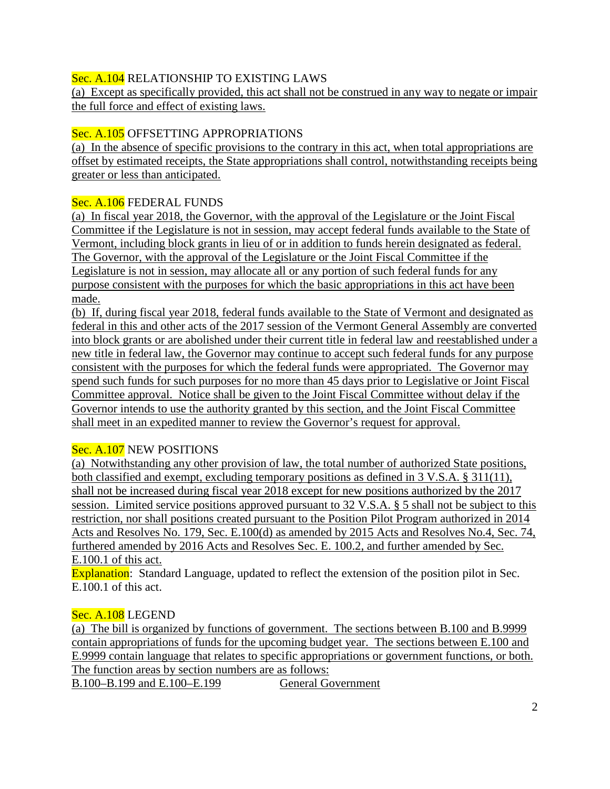## Sec. A.104 RELATIONSHIP TO EXISTING LAWS

(a) Except as specifically provided, this act shall not be construed in any way to negate or impair the full force and effect of existing laws.

## Sec. A.105 OFFSETTING APPROPRIATIONS

(a) In the absence of specific provisions to the contrary in this act, when total appropriations are offset by estimated receipts, the State appropriations shall control, notwithstanding receipts being greater or less than anticipated.

#### Sec. A.106 FEDERAL FUNDS

(a) In fiscal year 2018, the Governor, with the approval of the Legislature or the Joint Fiscal Committee if the Legislature is not in session, may accept federal funds available to the State of Vermont, including block grants in lieu of or in addition to funds herein designated as federal. The Governor, with the approval of the Legislature or the Joint Fiscal Committee if the Legislature is not in session, may allocate all or any portion of such federal funds for any purpose consistent with the purposes for which the basic appropriations in this act have been made.

(b) If, during fiscal year 2018, federal funds available to the State of Vermont and designated as federal in this and other acts of the 2017 session of the Vermont General Assembly are converted into block grants or are abolished under their current title in federal law and reestablished under a new title in federal law, the Governor may continue to accept such federal funds for any purpose consistent with the purposes for which the federal funds were appropriated. The Governor may spend such funds for such purposes for no more than 45 days prior to Legislative or Joint Fiscal Committee approval. Notice shall be given to the Joint Fiscal Committee without delay if the Governor intends to use the authority granted by this section, and the Joint Fiscal Committee shall meet in an expedited manner to review the Governor's request for approval.

#### Sec. A.107 NEW POSITIONS

(a) Notwithstanding any other provision of law, the total number of authorized State positions, both classified and exempt, excluding temporary positions as defined in 3 V.S.A. § 311(11), shall not be increased during fiscal year 2018 except for new positions authorized by the 2017 session. Limited service positions approved pursuant to 32 V.S.A. § 5 shall not be subject to this restriction, nor shall positions created pursuant to the Position Pilot Program authorized in 2014 Acts and Resolves No. 179, Sec. E.100(d) as amended by 2015 Acts and Resolves No.4, Sec. 74, furthered amended by 2016 Acts and Resolves Sec. E. 100.2, and further amended by Sec. E.100.1 of this act.

Explanation: Standard Language, updated to reflect the extension of the position pilot in Sec. E.100.1 of this act.

#### Sec. A.108 LEGEND

(a) The bill is organized by functions of government. The sections between B.100 and B.9999 contain appropriations of funds for the upcoming budget year. The sections between E.100 and E.9999 contain language that relates to specific appropriations or government functions, or both. The function areas by section numbers are as follows:

B.100–B.199 and E.100–E.199 General Government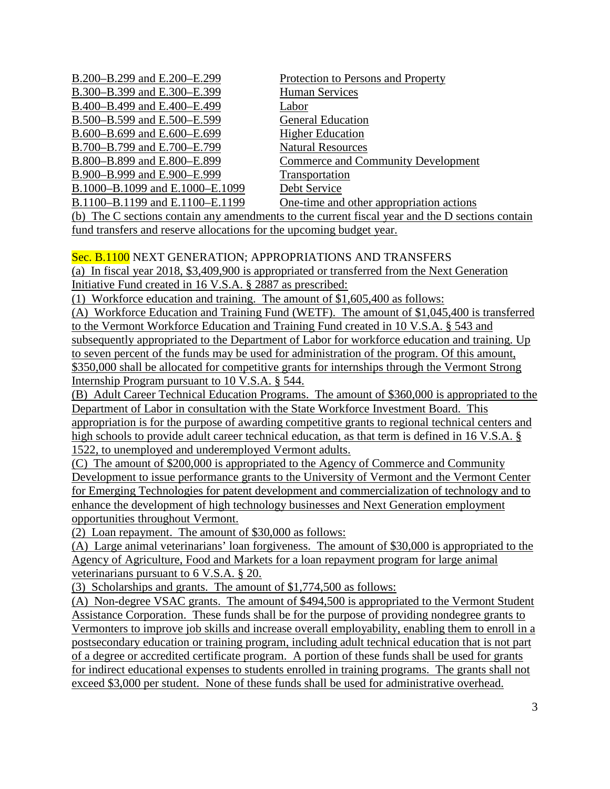B.200–B.299 and E.200–E.299 Protection to Persons and Property B.300–B.399 and E.300–E.399 Human Services B.400–B.499 and E.400–E.499 Labor B.500–B.599 and E.500–E.599 General Education B.600–B.699 and E.600–E.699 Higher Education B.700–B.799 and E.700–E.799 Natural Resources B.900–B.999 and E.900–E.999 Transportation B.1000–B.1099 and E.1000–E.1099 Debt Service

B.800–B.899 and E.800–E.899 Commerce and Community Development B.1100–B.1199 and E.1100–E.1199 One-time and other appropriation actions

(b) The C sections contain any amendments to the current fiscal year and the D sections contain fund transfers and reserve allocations for the upcoming budget year.

#### Sec. B.1100 NEXT GENERATION; APPROPRIATIONS AND TRANSFERS

(a) In fiscal year 2018, \$3,409,900 is appropriated or transferred from the Next Generation Initiative Fund created in 16 V.S.A. § 2887 as prescribed:

(1) Workforce education and training. The amount of \$1,605,400 as follows:

(A) Workforce Education and Training Fund (WETF). The amount of \$1,045,400 is transferred to the Vermont Workforce Education and Training Fund created in 10 V.S.A. § 543 and subsequently appropriated to the Department of Labor for workforce education and training. Up to seven percent of the funds may be used for administration of the program. Of this amount, \$350,000 shall be allocated for competitive grants for internships through the Vermont Strong Internship Program pursuant to 10 V.S.A. § 544.

(B) Adult Career Technical Education Programs. The amount of \$360,000 is appropriated to the Department of Labor in consultation with the State Workforce Investment Board. This appropriation is for the purpose of awarding competitive grants to regional technical centers and high schools to provide adult career technical education, as that term is defined in 16 V.S.A. § 1522, to unemployed and underemployed Vermont adults.

(C) The amount of \$200,000 is appropriated to the Agency of Commerce and Community Development to issue performance grants to the University of Vermont and the Vermont Center for Emerging Technologies for patent development and commercialization of technology and to enhance the development of high technology businesses and Next Generation employment opportunities throughout Vermont.

(2) Loan repayment. The amount of \$30,000 as follows:

(A) Large animal veterinarians' loan forgiveness. The amount of \$30,000 is appropriated to the Agency of Agriculture, Food and Markets for a loan repayment program for large animal veterinarians pursuant to 6 V.S.A. § 20.

(3) Scholarships and grants. The amount of \$1,774,500 as follows:

(A) Non-degree VSAC grants. The amount of \$494,500 is appropriated to the Vermont Student Assistance Corporation. These funds shall be for the purpose of providing nondegree grants to Vermonters to improve job skills and increase overall employability, enabling them to enroll in a postsecondary education or training program, including adult technical education that is not part of a degree or accredited certificate program. A portion of these funds shall be used for grants for indirect educational expenses to students enrolled in training programs. The grants shall not exceed \$3,000 per student. None of these funds shall be used for administrative overhead.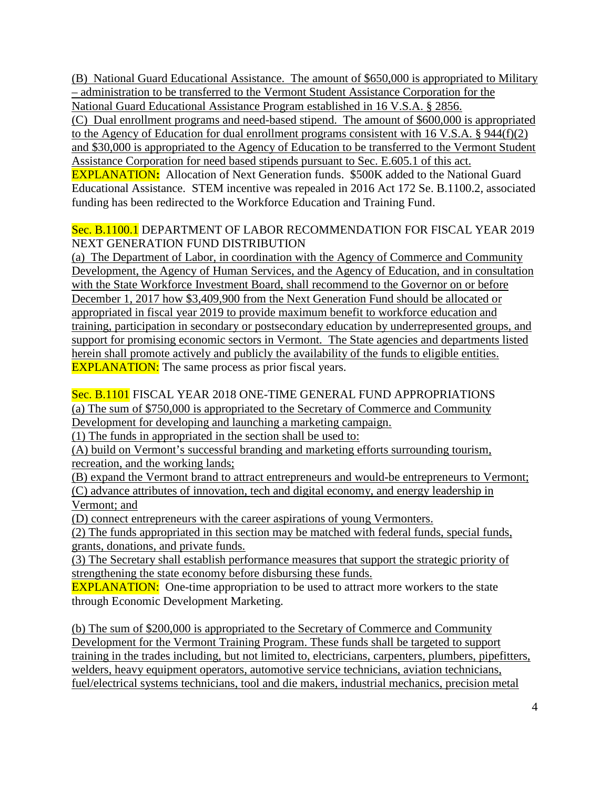(B) National Guard Educational Assistance. The amount of \$650,000 is appropriated to Military – administration to be transferred to the Vermont Student Assistance Corporation for the National Guard Educational Assistance Program established in 16 V.S.A. § 2856.

(C) Dual enrollment programs and need-based stipend. The amount of \$600,000 is appropriated to the Agency of Education for dual enrollment programs consistent with 16 V.S.A. § 944(f)(2) and \$30,000 is appropriated to the Agency of Education to be transferred to the Vermont Student Assistance Corporation for need based stipends pursuant to Sec. E.605.1 of this act.

EXPLANATION**:** Allocation of Next Generation funds. \$500K added to the National Guard Educational Assistance. STEM incentive was repealed in 2016 Act 172 Se. B.1100.2, associated funding has been redirected to the Workforce Education and Training Fund.

#### Sec. B.1100.1 DEPARTMENT OF LABOR RECOMMENDATION FOR FISCAL YEAR 2019 NEXT GENERATION FUND DISTRIBUTION

(a) The Department of Labor, in coordination with the Agency of Commerce and Community Development, the Agency of Human Services, and the Agency of Education, and in consultation with the State Workforce Investment Board, shall recommend to the Governor on or before December 1, 2017 how \$3,409,900 from the Next Generation Fund should be allocated or appropriated in fiscal year 2019 to provide maximum benefit to workforce education and training, participation in secondary or postsecondary education by underrepresented groups, and support for promising economic sectors in Vermont. The State agencies and departments listed herein shall promote actively and publicly the availability of the funds to eligible entities. **EXPLANATION:** The same process as prior fiscal years.

#### Sec. B.1101 FISCAL YEAR 2018 ONE-TIME GENERAL FUND APPROPRIATIONS (a) The sum of \$750,000 is appropriated to the Secretary of Commerce and Community Development for developing and launching a marketing campaign.

(1) The funds in appropriated in the section shall be used to:

(A) build on Vermont's successful branding and marketing efforts surrounding tourism, recreation, and the working lands;

(B) expand the Vermont brand to attract entrepreneurs and would-be entrepreneurs to Vermont; (C) advance attributes of innovation, tech and digital economy, and energy leadership in Vermont; and

(D) connect entrepreneurs with the career aspirations of young Vermonters.

(2) The funds appropriated in this section may be matched with federal funds, special funds, grants, donations, and private funds.

(3) The Secretary shall establish performance measures that support the strategic priority of strengthening the state economy before disbursing these funds.

**EXPLANATION:** One-time appropriation to be used to attract more workers to the state through Economic Development Marketing.

(b) The sum of \$200,000 is appropriated to the Secretary of Commerce and Community Development for the Vermont Training Program. These funds shall be targeted to support training in the trades including, but not limited to, electricians, carpenters, plumbers, pipefitters, welders, heavy equipment operators, automotive service technicians, aviation technicians, fuel/electrical systems technicians, tool and die makers, industrial mechanics, precision metal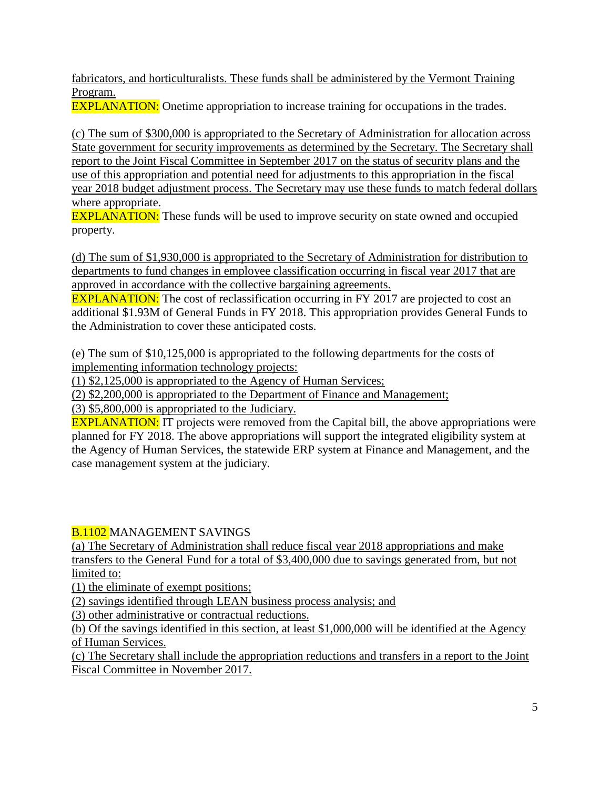fabricators, and horticulturalists. These funds shall be administered by the Vermont Training Program.

EXPLANATION: Onetime appropriation to increase training for occupations in the trades.

(c) The sum of \$300,000 is appropriated to the Secretary of Administration for allocation across State government for security improvements as determined by the Secretary. The Secretary shall report to the Joint Fiscal Committee in September 2017 on the status of security plans and the use of this appropriation and potential need for adjustments to this appropriation in the fiscal year 2018 budget adjustment process. The Secretary may use these funds to match federal dollars where appropriate.

**EXPLANATION:** These funds will be used to improve security on state owned and occupied property.

(d) The sum of \$1,930,000 is appropriated to the Secretary of Administration for distribution to departments to fund changes in employee classification occurring in fiscal year 2017 that are approved in accordance with the collective bargaining agreements.

**EXPLANATION:** The cost of reclassification occurring in FY 2017 are projected to cost an additional \$1.93M of General Funds in FY 2018. This appropriation provides General Funds to the Administration to cover these anticipated costs.

(e) The sum of \$10,125,000 is appropriated to the following departments for the costs of implementing information technology projects:

(1) \$2,125,000 is appropriated to the Agency of Human Services;

(2) \$2,200,000 is appropriated to the Department of Finance and Management;

(3) \$5,800,000 is appropriated to the Judiciary.

**EXPLANATION:** IT projects were removed from the Capital bill, the above appropriations were planned for FY 2018. The above appropriations will support the integrated eligibility system at the Agency of Human Services, the statewide ERP system at Finance and Management, and the case management system at the judiciary.

**B.1102 MANAGEMENT SAVINGS** 

(a) The Secretary of Administration shall reduce fiscal year 2018 appropriations and make transfers to the General Fund for a total of \$3,400,000 due to savings generated from, but not limited to:

(1) the eliminate of exempt positions;

(2) savings identified through LEAN business process analysis; and

(3) other administrative or contractual reductions.

(b) Of the savings identified in this section, at least \$1,000,000 will be identified at the Agency of Human Services.

(c) The Secretary shall include the appropriation reductions and transfers in a report to the Joint Fiscal Committee in November 2017.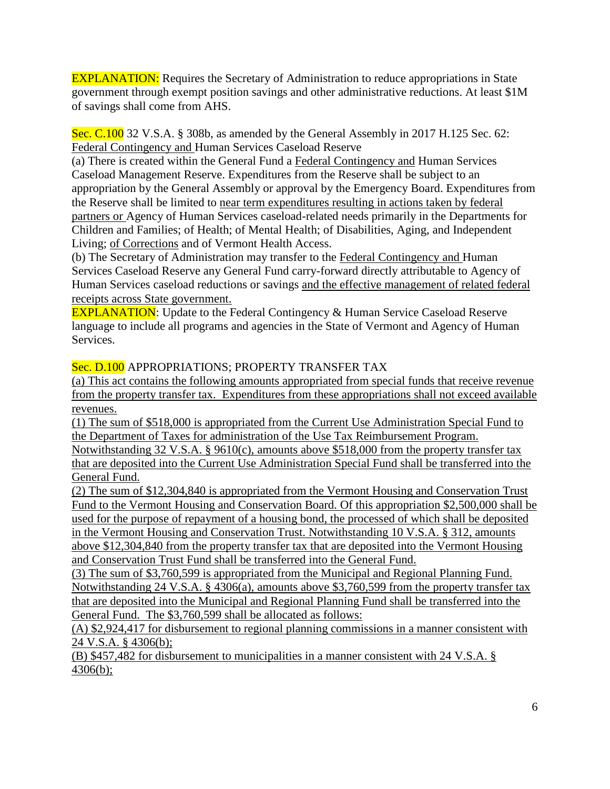EXPLANATION: Requires the Secretary of Administration to reduce appropriations in State government through exempt position savings and other administrative reductions. At least \$1M of savings shall come from AHS.

Sec. C.100 32 V.S.A. § 308b, as amended by the General Assembly in 2017 H.125 Sec. 62: Federal Contingency and Human Services Caseload Reserve

(a) There is created within the General Fund a Federal Contingency and Human Services Caseload Management Reserve. Expenditures from the Reserve shall be subject to an appropriation by the General Assembly or approval by the Emergency Board. Expenditures from the Reserve shall be limited to near term expenditures resulting in actions taken by federal partners or Agency of Human Services caseload-related needs primarily in the Departments for Children and Families; of Health; of Mental Health; of Disabilities, Aging, and Independent Living; of Corrections and of Vermont Health Access.

(b) The Secretary of Administration may transfer to the Federal Contingency and Human Services Caseload Reserve any General Fund carry-forward directly attributable to Agency of Human Services caseload reductions or savings and the effective management of related federal receipts across State government.

**EXPLANATION:** Update to the Federal Contingency & Human Service Caseload Reserve language to include all programs and agencies in the State of Vermont and Agency of Human Services.

#### Sec. D.100 APPROPRIATIONS; PROPERTY TRANSFER TAX

(a) This act contains the following amounts appropriated from special funds that receive revenue from the property transfer tax. Expenditures from these appropriations shall not exceed available revenues.

(1) The sum of \$518,000 is appropriated from the Current Use Administration Special Fund to the Department of Taxes for administration of the Use Tax Reimbursement Program.

Notwithstanding 32 V.S.A. § 9610(c), amounts above \$518,000 from the property transfer tax that are deposited into the Current Use Administration Special Fund shall be transferred into the General Fund.

(2) The sum of \$12,304,840 is appropriated from the Vermont Housing and Conservation Trust Fund to the Vermont Housing and Conservation Board. Of this appropriation \$2,500,000 shall be used for the purpose of repayment of a housing bond, the processed of which shall be deposited in the Vermont Housing and Conservation Trust. Notwithstanding 10 V.S.A. § 312, amounts above \$12,304,840 from the property transfer tax that are deposited into the Vermont Housing and Conservation Trust Fund shall be transferred into the General Fund.

(3) The sum of \$3,760,599 is appropriated from the Municipal and Regional Planning Fund. Notwithstanding 24 V.S.A. § 4306(a), amounts above \$3,760,599 from the property transfer tax that are deposited into the Municipal and Regional Planning Fund shall be transferred into the General Fund. The \$3,760,599 shall be allocated as follows:

(A) \$2,924,417 for disbursement to regional planning commissions in a manner consistent with 24 V.S.A. § 4306(b);

(B) \$457,482 for disbursement to municipalities in a manner consistent with 24 V.S.A. § 4306(b);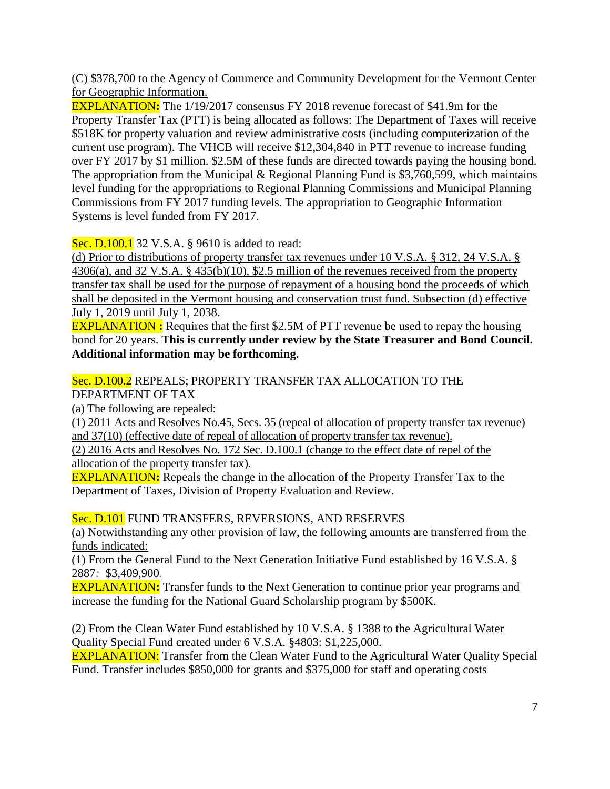(C) \$378,700 to the Agency of Commerce and Community Development for the Vermont Center for Geographic Information.

EXPLANATION**:** The 1/19/2017 consensus FY 2018 revenue forecast of \$41.9m for the Property Transfer Tax (PTT) is being allocated as follows: The Department of Taxes will receive \$518K for property valuation and review administrative costs (including computerization of the current use program). The VHCB will receive \$12,304,840 in PTT revenue to increase funding over FY 2017 by \$1 million. \$2.5M of these funds are directed towards paying the housing bond. The appropriation from the Municipal & Regional Planning Fund is \$3,760,599, which maintains level funding for the appropriations to Regional Planning Commissions and Municipal Planning Commissions from FY 2017 funding levels. The appropriation to Geographic Information Systems is level funded from FY 2017.

# Sec. D.100.1 32 V.S.A. § 9610 is added to read:

(d) Prior to distributions of property transfer tax revenues under 10 V.S.A. § 312, 24 V.S.A. § 4306(a), and 32 V.S.A. § 435(b)(10), \$2.5 million of the revenues received from the property transfer tax shall be used for the purpose of repayment of a housing bond the proceeds of which shall be deposited in the Vermont housing and conservation trust fund. Subsection (d) effective July 1, 2019 until July 1, 2038.

EXPLANATION **:** Requires that the first \$2.5M of PTT revenue be used to repay the housing bond for 20 years. **This is currently under review by the State Treasurer and Bond Council. Additional information may be forthcoming.**

#### Sec. D.100.2 REPEALS; PROPERTY TRANSFER TAX ALLOCATION TO THE DEPARTMENT OF TAX

(a) The following are repealed:

(1) 2011 Acts and Resolves No.45, Secs. 35 (repeal of allocation of property transfer tax revenue) and 37(10) (effective date of repeal of allocation of property transfer tax revenue).

(2) 2016 Acts and Resolves No. 172 Sec. D.100.1 (change to the effect date of repel of the allocation of the property transfer tax).

EXPLANATION**:** Repeals the change in the allocation of the Property Transfer Tax to the Department of Taxes, Division of Property Evaluation and Review.

Sec. D.101 FUND TRANSFERS, REVERSIONS, AND RESERVES

(a) Notwithstanding any other provision of law, the following amounts are transferred from the funds indicated:

(1) From the General Fund to the Next Generation Initiative Fund established by 16 V.S.A. § 2887*:* \$3,409,900*.*

EXPLANATION**:** Transfer funds to the Next Generation to continue prior year programs and increase the funding for the National Guard Scholarship program by \$500K.

(2) From the Clean Water Fund established by 10 V.S.A. § 1388 to the Agricultural Water Quality Special Fund created under 6 V.S.A. §4803: \$1,225,000.

**EXPLANATION:** Transfer from the Clean Water Fund to the Agricultural Water Quality Special Fund. Transfer includes \$850,000 for grants and \$375,000 for staff and operating costs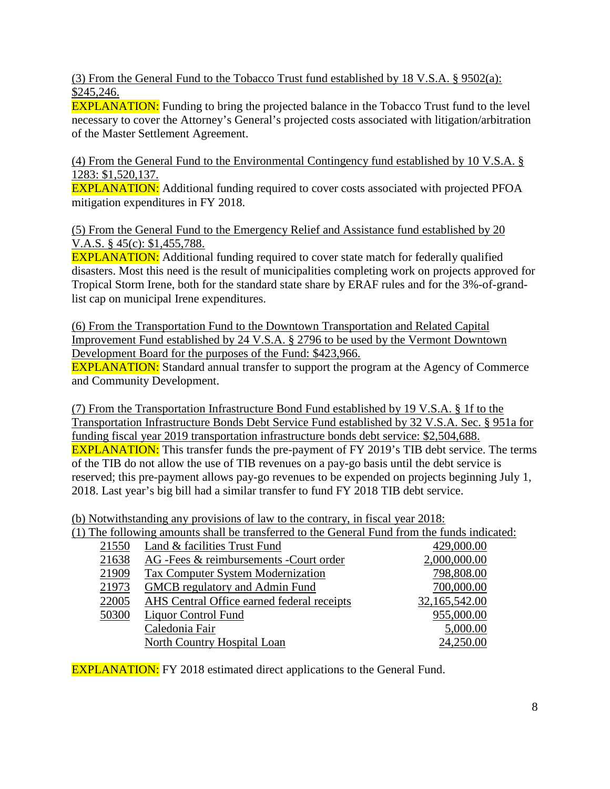(3) From the General Fund to the Tobacco Trust fund established by 18 V.S.A. § 9502(a): \$245,246.

**EXPLANATION:** Funding to bring the projected balance in the Tobacco Trust fund to the level necessary to cover the Attorney's General's projected costs associated with litigation/arbitration of the Master Settlement Agreement.

(4) From the General Fund to the Environmental Contingency fund established by 10 V.S.A. § 1283: \$1,520,137.

EXPLANATION: Additional funding required to cover costs associated with projected PFOA mitigation expenditures in FY 2018.

(5) From the General Fund to the Emergency Relief and Assistance fund established by 20 V.A.S. § 45(c): \$1,455,788.

**EXPLANATION:** Additional funding required to cover state match for federally qualified disasters. Most this need is the result of municipalities completing work on projects approved for Tropical Storm Irene, both for the standard state share by ERAF rules and for the 3%-of-grandlist cap on municipal Irene expenditures.

(6) From the Transportation Fund to the Downtown Transportation and Related Capital Improvement Fund established by 24 V.S.A. § 2796 to be used by the Vermont Downtown Development Board for the purposes of the Fund: \$423,966.

EXPLANATION: Standard annual transfer to support the program at the Agency of Commerce and Community Development.

(7) From the Transportation Infrastructure Bond Fund established by 19 V.S.A. § 1f to the Transportation Infrastructure Bonds Debt Service Fund established by 32 V.S.A. Sec. § 951a for funding fiscal year 2019 transportation infrastructure bonds debt service: \$2,504,688. EXPLANATION: This transfer funds the pre-payment of FY 2019's TIB debt service. The terms of the TIB do not allow the use of TIB revenues on a pay-go basis until the debt service is reserved; this pre-payment allows pay-go revenues to be expended on projects beginning July 1, 2018. Last year's big bill had a similar transfer to fund FY 2018 TIB debt service.

(b) Notwithstanding any provisions of law to the contrary, in fiscal year 2018:

(1) The following amounts shall be transferred to the General Fund from the funds indicated:

| 21550 | Land & facilities Trust Fund               | 429,000.00    |
|-------|--------------------------------------------|---------------|
| 21638 | AG -Fees & reimbursements -Court order     | 2,000,000.00  |
| 21909 | <b>Tax Computer System Modernization</b>   | 798,808.00    |
| 21973 | GMCB regulatory and Admin Fund             | 700,000.00    |
| 22005 | AHS Central Office earned federal receipts | 32,165,542.00 |
| 50300 | Liquor Control Fund                        | 955,000.00    |
|       | Caledonia Fair                             | 5,000.00      |
|       | <b>North Country Hospital Loan</b>         | 24,250.00     |
|       |                                            |               |

**EXPLANATION:** FY 2018 estimated direct applications to the General Fund.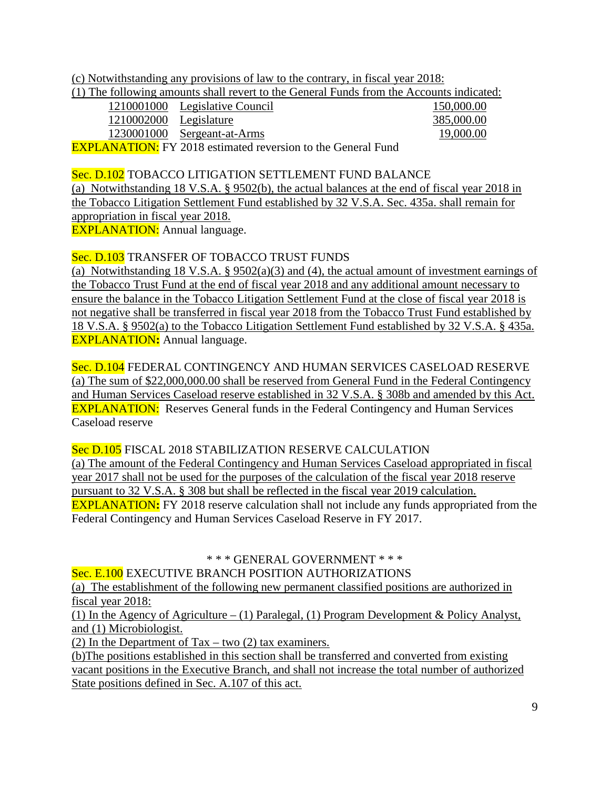(c) Notwithstanding any provisions of law to the contrary, in fiscal year 2018:

|                        | (1) The following amounts shall revert to the General Funds from the Accounts indicated: |            |
|------------------------|------------------------------------------------------------------------------------------|------------|
|                        | 1210001000 Legislative Council                                                           | 150,000.00 |
| 1210002000 Legislature |                                                                                          | 385,000.00 |
|                        | 1230001000 Sergeant-at-Arms                                                              | 19,000.00  |
|                        | $EVDI$ ANATION. EV 2018 ostimated reversion to the Ceneral Eund                          |            |

**EXPLANATION:** FY 2018 estimated reversion to the General Fund

#### Sec. D.102 TOBACCO LITIGATION SETTLEMENT FUND BALANCE

(a) Notwithstanding 18 V.S.A. § 9502(b), the actual balances at the end of fiscal year 2018 in the Tobacco Litigation Settlement Fund established by 32 V.S.A. Sec. 435a. shall remain for appropriation in fiscal year 2018.

**EXPLANATION:** Annual language.

## Sec. D.103 TRANSFER OF TOBACCO TRUST FUNDS

(a) Notwithstanding 18 V.S.A. § 9502(a)(3) and (4), the actual amount of investment earnings of the Tobacco Trust Fund at the end of fiscal year 2018 and any additional amount necessary to ensure the balance in the Tobacco Litigation Settlement Fund at the close of fiscal year 2018 is not negative shall be transferred in fiscal year 2018 from the Tobacco Trust Fund established by 18 V.S.A. § 9502(a) to the Tobacco Litigation Settlement Fund established by 32 V.S.A. § 435a. EXPLANATION**:** Annual language.

#### Sec. D.104 FEDERAL CONTINGENCY AND HUMAN SERVICES CASELOAD RESERVE (a) The sum of \$22,000,000.00 shall be reserved from General Fund in the Federal Contingency and Human Services Caseload reserve established in 32 V.S.A. § 308b and amended by this Act. **EXPLANATION:** Reserves General funds in the Federal Contingency and Human Services Caseload reserve

Sec D.105 FISCAL 2018 STABILIZATION RESERVE CALCULATION

(a) The amount of the Federal Contingency and Human Services Caseload appropriated in fiscal year 2017 shall not be used for the purposes of the calculation of the fiscal year 2018 reserve pursuant to 32 V.S.A. § 308 but shall be reflected in the fiscal year 2019 calculation. EXPLANATION**:** FY 2018 reserve calculation shall not include any funds appropriated from the Federal Contingency and Human Services Caseload Reserve in FY 2017.

#### \* \* \* GENERAL GOVERNMENT \* \* \*

Sec. E.100 EXECUTIVE BRANCH POSITION AUTHORIZATIONS

(a) The establishment of the following new permanent classified positions are authorized in fiscal year 2018:

(1) In the Agency of Agriculture – (1) Paralegal, (1) Program Development & Policy Analyst, and (1) Microbiologist.

(2) In the Department of Tax – two  $(2)$  tax examiners.

(b)The positions established in this section shall be transferred and converted from existing vacant positions in the Executive Branch, and shall not increase the total number of authorized State positions defined in Sec. A.107 of this act.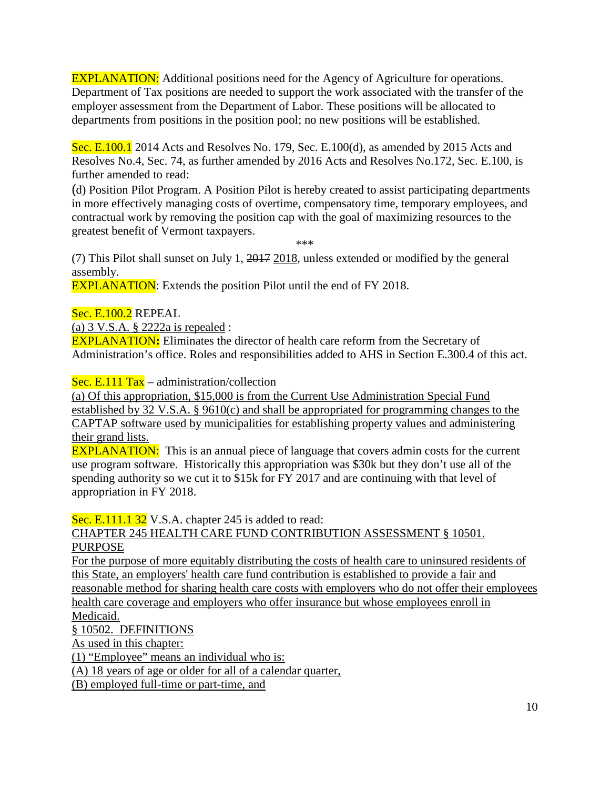EXPLANATION: Additional positions need for the Agency of Agriculture for operations. Department of Tax positions are needed to support the work associated with the transfer of the employer assessment from the Department of Labor. These positions will be allocated to departments from positions in the position pool; no new positions will be established.

Sec. E.100.1 2014 Acts and Resolves No. 179, Sec. E.100(d), as amended by 2015 Acts and Resolves No.4, Sec. 74, as further amended by 2016 Acts and Resolves No.172, Sec. E.100, is further amended to read:

(d) Position Pilot Program. A Position Pilot is hereby created to assist participating departments in more effectively managing costs of overtime, compensatory time, temporary employees, and contractual work by removing the position cap with the goal of maximizing resources to the greatest benefit of Vermont taxpayers.

\*\*\*

(7) This Pilot shall sunset on July 1, 2017 2018, unless extended or modified by the general assembly.

**EXPLANATION:** Extends the position Pilot until the end of FY 2018.

Sec. E.100.2 REPEAL

(a) 3 V.S.A. § 2222a is repealed :

EXPLANATION**:** Eliminates the director of health care reform from the Secretary of Administration's office. Roles and responsibilities added to AHS in Section E.300.4 of this act.

Sec. E.111 Tax – administration/collection

(a) Of this appropriation, \$15,000 is from the Current Use Administration Special Fund established by 32 V.S.A. § 9610(c) and shall be appropriated for programming changes to the CAPTAP software used by municipalities for establishing property values and administering their grand lists.

**EXPLANATION:** This is an annual piece of language that covers admin costs for the current use program software. Historically this appropriation was \$30k but they don't use all of the spending authority so we cut it to \$15k for FY 2017 and are continuing with that level of appropriation in FY 2018.

Sec. E.111.1 32 V.S.A. chapter 245 is added to read:

## CHAPTER 245 HEALTH CARE FUND CONTRIBUTION ASSESSMENT § 10501. PURPOSE

For the purpose of more equitably distributing the costs of health care to uninsured residents of this State, an employers' health care fund contribution is established to provide a fair and reasonable method for sharing health care costs with employers who do not offer their employees health care coverage and employers who offer insurance but whose employees enroll in Medicaid.

§ 10502. DEFINITIONS

As used in this chapter:

(1) "Employee" means an individual who is:

(A) 18 years of age or older for all of a calendar quarter,

(B) employed full-time or part-time, and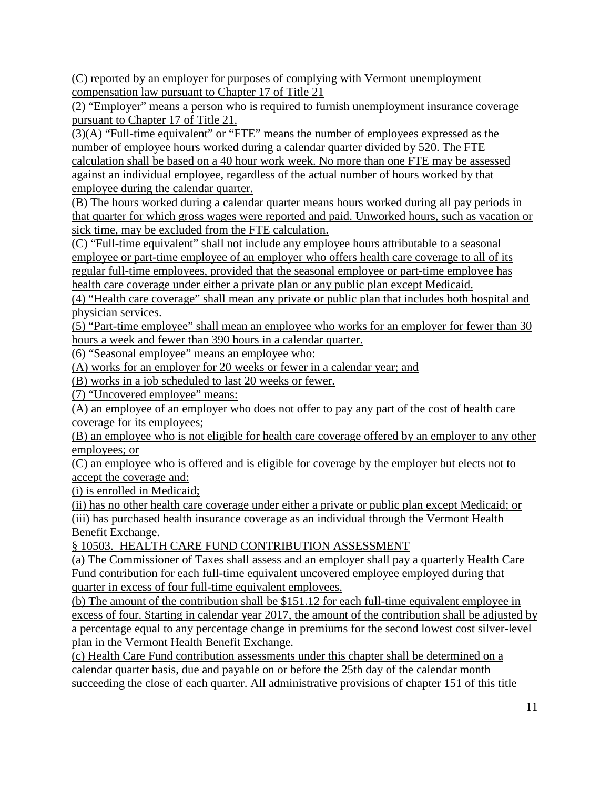(C) reported by an employer for purposes of complying with Vermont unemployment compensation law pursuant to Chapter 17 of Title 21

(2) "Employer" means a person who is required to furnish unemployment insurance coverage pursuant to Chapter 17 of Title 21.

(3)(A) "Full-time equivalent" or "FTE" means the number of employees expressed as the number of employee hours worked during a calendar quarter divided by 520. The FTE calculation shall be based on a 40 hour work week. No more than one FTE may be assessed against an individual employee, regardless of the actual number of hours worked by that employee during the calendar quarter.

(B) The hours worked during a calendar quarter means hours worked during all pay periods in that quarter for which gross wages were reported and paid. Unworked hours, such as vacation or sick time, may be excluded from the FTE calculation.

(C) "Full-time equivalent" shall not include any employee hours attributable to a seasonal employee or part-time employee of an employer who offers health care coverage to all of its regular full-time employees, provided that the seasonal employee or part-time employee has health care coverage under either a private plan or any public plan except Medicaid.

(4) "Health care coverage" shall mean any private or public plan that includes both hospital and physician services.

(5) "Part-time employee" shall mean an employee who works for an employer for fewer than 30 hours a week and fewer than 390 hours in a calendar quarter.

(6) "Seasonal employee" means an employee who:

(A) works for an employer for 20 weeks or fewer in a calendar year; and

(B) works in a job scheduled to last 20 weeks or fewer.

(7) "Uncovered employee" means:

(A) an employee of an employer who does not offer to pay any part of the cost of health care coverage for its employees;

(B) an employee who is not eligible for health care coverage offered by an employer to any other employees; or

(C) an employee who is offered and is eligible for coverage by the employer but elects not to accept the coverage and:

(i) is enrolled in Medicaid;

(ii) has no other health care coverage under either a private or public plan except Medicaid; or (iii) has purchased health insurance coverage as an individual through the Vermont Health Benefit Exchange.

§ 10503. HEALTH CARE FUND CONTRIBUTION ASSESSMENT

(a) The Commissioner of Taxes shall assess and an employer shall pay a quarterly Health Care Fund contribution for each full-time equivalent uncovered employee employed during that quarter in excess of four full-time equivalent employees.

(b) The amount of the contribution shall be \$151.12 for each full-time equivalent employee in excess of four. Starting in calendar year 2017, the amount of the contribution shall be adjusted by a percentage equal to any percentage change in premiums for the second lowest cost silver-level plan in the Vermont Health Benefit Exchange.

(c) Health Care Fund contribution assessments under this chapter shall be determined on a calendar quarter basis, due and payable on or before the 25th day of the calendar month succeeding the close of each quarter. All administrative provisions of chapter 151 of this title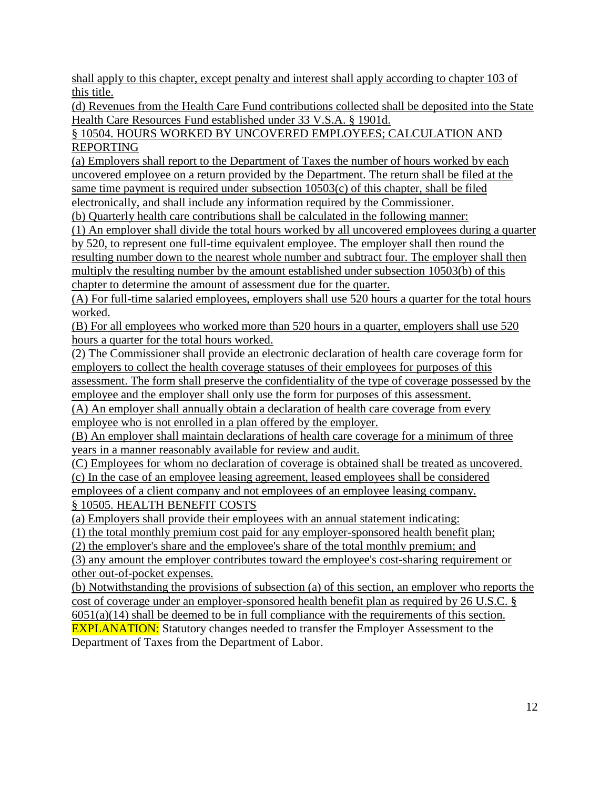shall apply to this chapter, except penalty and interest shall apply according to chapter 103 of this title.

(d) Revenues from the Health Care Fund contributions collected shall be deposited into the State Health Care Resources Fund established under 33 V.S.A. § 1901d.

§ 10504. HOURS WORKED BY UNCOVERED EMPLOYEES; CALCULATION AND REPORTING

(a) Employers shall report to the Department of Taxes the number of hours worked by each uncovered employee on a return provided by the Department. The return shall be filed at the same time payment is required under subsection 10503(c) of this chapter, shall be filed electronically, and shall include any information required by the Commissioner.

(b) Quarterly health care contributions shall be calculated in the following manner:

(1) An employer shall divide the total hours worked by all uncovered employees during a quarter by 520, to represent one full-time equivalent employee. The employer shall then round the resulting number down to the nearest whole number and subtract four. The employer shall then multiply the resulting number by the amount established under subsection 10503(b) of this chapter to determine the amount of assessment due for the quarter.

(A) For full-time salaried employees, employers shall use 520 hours a quarter for the total hours worked.

(B) For all employees who worked more than 520 hours in a quarter, employers shall use 520 hours a quarter for the total hours worked.

(2) The Commissioner shall provide an electronic declaration of health care coverage form for employers to collect the health coverage statuses of their employees for purposes of this assessment. The form shall preserve the confidentiality of the type of coverage possessed by the

employee and the employer shall only use the form for purposes of this assessment.

(A) An employer shall annually obtain a declaration of health care coverage from every employee who is not enrolled in a plan offered by the employer.

(B) An employer shall maintain declarations of health care coverage for a minimum of three years in a manner reasonably available for review and audit.

(C) Employees for whom no declaration of coverage is obtained shall be treated as uncovered. (c) In the case of an employee leasing agreement, leased employees shall be considered

employees of a client company and not employees of an employee leasing company. § 10505. HEALTH BENEFIT COSTS

(a) Employers shall provide their employees with an annual statement indicating:

(1) the total monthly premium cost paid for any employer-sponsored health benefit plan;

(2) the employer's share and the employee's share of the total monthly premium; and

(3) any amount the employer contributes toward the employee's cost-sharing requirement or other out-of-pocket expenses.

(b) Notwithstanding the provisions of subsection (a) of this section, an employer who reports the cost of coverage under an employer-sponsored health benefit plan as required by 26 U.S.C. § 6051(a)(14) shall be deemed to be in full compliance with the requirements of this section. **EXPLANATION:** Statutory changes needed to transfer the Employer Assessment to the Department of Taxes from the Department of Labor.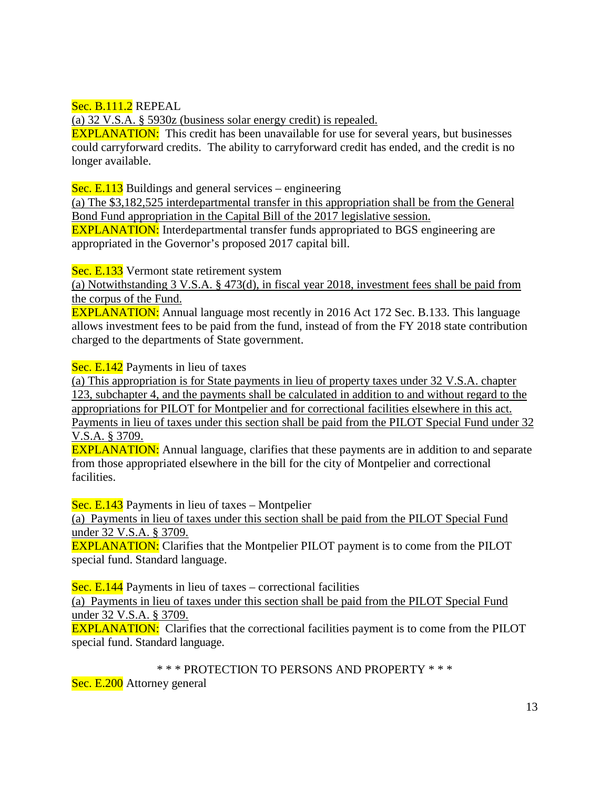Sec. B.111.2 REPEAL

(a) 32 V.S.A. § 5930z (business solar energy credit) is repealed.

**EXPLANATION:** This credit has been unavailable for use for several years, but businesses could carryforward credits. The ability to carryforward credit has ended, and the credit is no longer available.

Sec. E.113 Buildings and general services – engineering

(a) The \$3,182,525 interdepartmental transfer in this appropriation shall be from the General Bond Fund appropriation in the Capital Bill of the 2017 legislative session.

EXPLANATION: Interdepartmental transfer funds appropriated to BGS engineering are appropriated in the Governor's proposed 2017 capital bill.

Sec. E.133 Vermont state retirement system

(a) Notwithstanding 3 V.S.A. § 473(d), in fiscal year 2018, investment fees shall be paid from the corpus of the Fund.

EXPLANATION: Annual language most recently in 2016 Act 172 Sec. B.133. This language allows investment fees to be paid from the fund, instead of from the FY 2018 state contribution charged to the departments of State government.

Sec. E.142 Payments in lieu of taxes

(a) This appropriation is for State payments in lieu of property taxes under 32 V.S.A. chapter 123, subchapter 4, and the payments shall be calculated in addition to and without regard to the appropriations for PILOT for Montpelier and for correctional facilities elsewhere in this act. Payments in lieu of taxes under this section shall be paid from the PILOT Special Fund under 32 V.S.A. § 3709.

**EXPLANATION:** Annual language, clarifies that these payments are in addition to and separate from those appropriated elsewhere in the bill for the city of Montpelier and correctional facilities.

Sec. E.143 Payments in lieu of taxes – Montpelier

(a) Payments in lieu of taxes under this section shall be paid from the PILOT Special Fund under 32 V.S.A. § 3709.

EXPLANATION: Clarifies that the Montpelier PILOT payment is to come from the PILOT special fund. Standard language.

Sec. E.144 Payments in lieu of taxes – correctional facilities

(a) Payments in lieu of taxes under this section shall be paid from the PILOT Special Fund under 32 V.S.A. § 3709.

EXPLANATION: Clarifies that the correctional facilities payment is to come from the PILOT special fund. Standard language.

\* \* \* PROTECTION TO PERSONS AND PROPERTY \* \* \*

Sec. E.200 Attorney general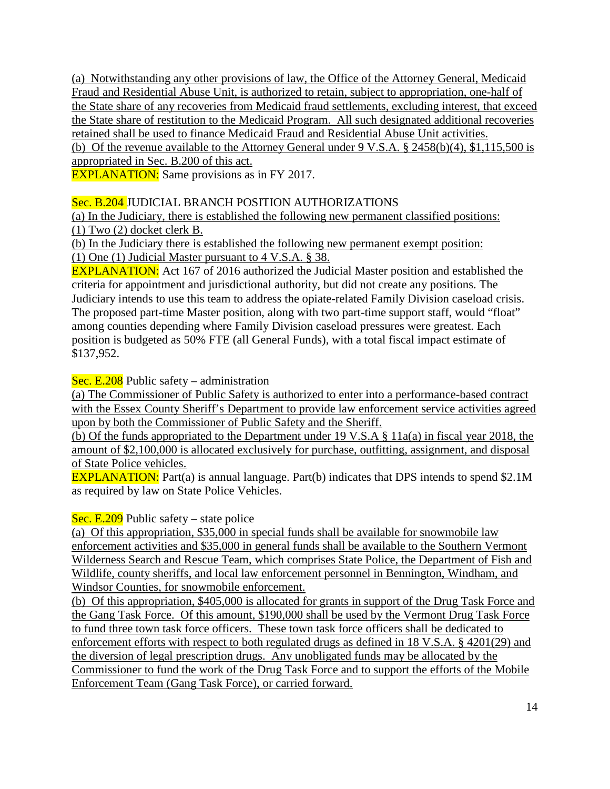(a) Notwithstanding any other provisions of law, the Office of the Attorney General, Medicaid Fraud and Residential Abuse Unit, is authorized to retain, subject to appropriation, one-half of the State share of any recoveries from Medicaid fraud settlements, excluding interest, that exceed the State share of restitution to the Medicaid Program. All such designated additional recoveries retained shall be used to finance Medicaid Fraud and Residential Abuse Unit activities. (b) Of the revenue available to the Attorney General under 9 V.S.A. § 2458(b)(4), \$1,115,500 is

appropriated in Sec. B.200 of this act.

**EXPLANATION:** Same provisions as in FY 2017.

Sec. B.204 JUDICIAL BRANCH POSITION AUTHORIZATIONS

(a) In the Judiciary, there is established the following new permanent classified positions: (1) Two (2) docket clerk B.

(b) In the Judiciary there is established the following new permanent exempt position: (1) One (1) Judicial Master pursuant to 4 V.S.A. § 38.

EXPLANATION: Act 167 of 2016 authorized the Judicial Master position and established the criteria for appointment and jurisdictional authority, but did not create any positions. The Judiciary intends to use this team to address the opiate-related Family Division caseload crisis. The proposed part-time Master position, along with two part-time support staff, would "float" among counties depending where Family Division caseload pressures were greatest. Each position is budgeted as 50% FTE (all General Funds), with a total fiscal impact estimate of \$137,952.

Sec. E.208 Public safety – administration

(a) The Commissioner of Public Safety is authorized to enter into a performance-based contract with the Essex County Sheriff's Department to provide law enforcement service activities agreed upon by both the Commissioner of Public Safety and the Sheriff.

(b) Of the funds appropriated to the Department under 19 V.S.A § 11a(a) in fiscal year 2018, the amount of \$2,100,000 is allocated exclusively for purchase, outfitting, assignment, and disposal of State Police vehicles.

**EXPLANATION:** Part(a) is annual language. Part(b) indicates that DPS intends to spend \$2.1M as required by law on State Police Vehicles.

#### Sec. E.209 Public safety – state police

(a) Of this appropriation, \$35,000 in special funds shall be available for snowmobile law enforcement activities and \$35,000 in general funds shall be available to the Southern Vermont Wilderness Search and Rescue Team, which comprises State Police, the Department of Fish and Wildlife, county sheriffs, and local law enforcement personnel in Bennington, Windham, and Windsor Counties, for snowmobile enforcement.

(b) Of this appropriation, \$405,000 is allocated for grants in support of the Drug Task Force and the Gang Task Force. Of this amount, \$190,000 shall be used by the Vermont Drug Task Force to fund three town task force officers. These town task force officers shall be dedicated to enforcement efforts with respect to both regulated drugs as defined in 18 V.S.A. § 4201(29) and the diversion of legal prescription drugs. Any unobligated funds may be allocated by the Commissioner to fund the work of the Drug Task Force and to support the efforts of the Mobile Enforcement Team (Gang Task Force), or carried forward.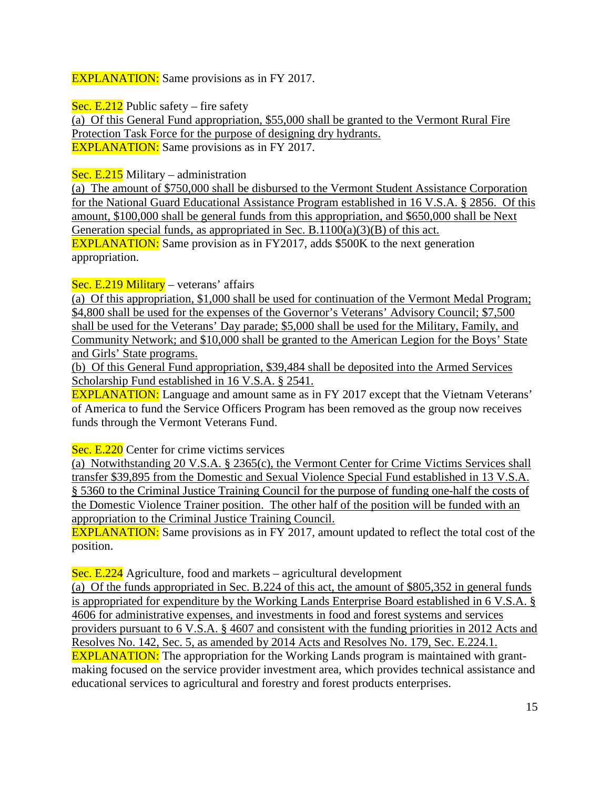**EXPLANATION:** Same provisions as in FY 2017.

Sec. E.212 Public safety – fire safety

(a) Of this General Fund appropriation, \$55,000 shall be granted to the Vermont Rural Fire Protection Task Force for the purpose of designing dry hydrants. **EXPLANATION:** Same provisions as in FY 2017.

Sec. E.215 Military – administration

(a) The amount of \$750,000 shall be disbursed to the Vermont Student Assistance Corporation for the National Guard Educational Assistance Program established in 16 V.S.A. § 2856. Of this amount, \$100,000 shall be general funds from this appropriation, and \$650,000 shall be Next Generation special funds, as appropriated in Sec. B.1100(a)(3)(B) of this act. EXPLANATION: Same provision as in FY2017, adds \$500K to the next generation appropriation.

Sec. E.219 Military – veterans' affairs

(a) Of this appropriation, \$1,000 shall be used for continuation of the Vermont Medal Program; \$4,800 shall be used for the expenses of the Governor's Veterans' Advisory Council; \$7,500 shall be used for the Veterans' Day parade; \$5,000 shall be used for the Military, Family, and Community Network; and \$10,000 shall be granted to the American Legion for the Boys' State and Girls' State programs.

(b) Of this General Fund appropriation, \$39,484 shall be deposited into the Armed Services Scholarship Fund established in 16 V.S.A. § 2541.

EXPLANATION: Language and amount same as in FY 2017 except that the Vietnam Veterans' of America to fund the Service Officers Program has been removed as the group now receives funds through the Vermont Veterans Fund.

Sec. E.220 Center for crime victims services

(a) Notwithstanding 20 V.S.A. § 2365(c), the Vermont Center for Crime Victims Services shall transfer \$39,895 from the Domestic and Sexual Violence Special Fund established in 13 V.S.A. § 5360 to the Criminal Justice Training Council for the purpose of funding one-half the costs of the Domestic Violence Trainer position. The other half of the position will be funded with an appropriation to the Criminal Justice Training Council.

EXPLANATION: Same provisions as in FY 2017, amount updated to reflect the total cost of the position.

Sec. E.224 Agriculture, food and markets – agricultural development

(a) Of the funds appropriated in Sec. B.224 of this act, the amount of \$805,352 in general funds is appropriated for expenditure by the Working Lands Enterprise Board established in 6 V.S.A. § 4606 for administrative expenses, and investments in food and forest systems and services providers pursuant to 6 V.S.A. § 4607 and consistent with the funding priorities in 2012 Acts and Resolves No. 142, Sec. 5, as amended by 2014 Acts and Resolves No. 179, Sec. E.224.1. **EXPLANATION:** The appropriation for the Working Lands program is maintained with grantmaking focused on the service provider investment area, which provides technical assistance and educational services to agricultural and forestry and forest products enterprises.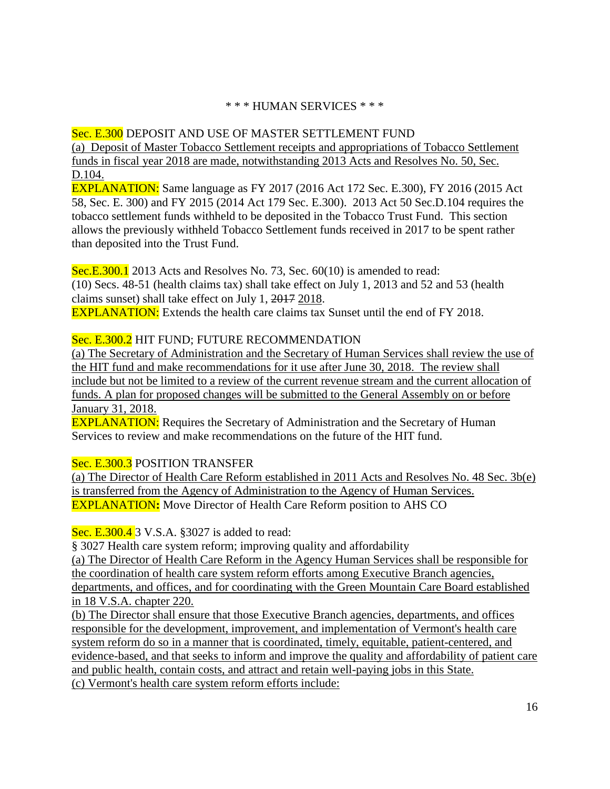#### \* \* \* HUMAN SERVICES \* \* \*

## Sec. E.300 DEPOSIT AND USE OF MASTER SETTLEMENT FUND

(a) Deposit of Master Tobacco Settlement receipts and appropriations of Tobacco Settlement funds in fiscal year 2018 are made, notwithstanding 2013 Acts and Resolves No. 50, Sec. D.104.

EXPLANATION: Same language as FY 2017 (2016 Act 172 Sec. E.300), FY 2016 (2015 Act 58, Sec. E. 300) and FY 2015 (2014 Act 179 Sec. E.300). 2013 Act 50 Sec.D.104 requires the tobacco settlement funds withheld to be deposited in the Tobacco Trust Fund. This section allows the previously withheld Tobacco Settlement funds received in 2017 to be spent rather than deposited into the Trust Fund.

Sec.E.300.1 2013 Acts and Resolves No. 73, Sec. 60(10) is amended to read: (10) Secs. 48-51 (health claims tax) shall take effect on July 1, 2013 and 52 and 53 (health claims sunset) shall take effect on July 1, 2017 2018. **EXPLANATION:** Extends the health care claims tax Sunset until the end of FY 2018.

## Sec. E.300.2 HIT FUND; FUTURE RECOMMENDATION

(a) The Secretary of Administration and the Secretary of Human Services shall review the use of the HIT fund and make recommendations for it use after June 30, 2018. The review shall include but not be limited to a review of the current revenue stream and the current allocation of funds. A plan for proposed changes will be submitted to the General Assembly on or before January 31, 2018.

**EXPLANATION:** Requires the Secretary of Administration and the Secretary of Human Services to review and make recommendations on the future of the HIT fund.

#### Sec. E.300.3 POSITION TRANSFER

(a) The Director of Health Care Reform established in 2011 Acts and Resolves No. 48 Sec. 3b(e) is transferred from the Agency of Administration to the Agency of Human Services. EXPLANATION**:** Move Director of Health Care Reform position to AHS CO

#### Sec. E.300.4 3 V.S.A. §3027 is added to read:

§ 3027 Health care system reform; improving quality and affordability (a) The Director of Health Care Reform in the Agency Human Services shall be responsible for the coordination of health care system reform efforts among Executive Branch agencies, departments, and offices, and for coordinating with the Green Mountain Care Board established in 18 V.S.A. chapter 220.

(b) The Director shall ensure that those Executive Branch agencies, departments, and offices responsible for the development, improvement, and implementation of Vermont's health care system reform do so in a manner that is coordinated, timely, equitable, patient-centered, and evidence-based, and that seeks to inform and improve the quality and affordability of patient care and public health, contain costs, and attract and retain well-paying jobs in this State. (c) Vermont's health care system reform efforts include: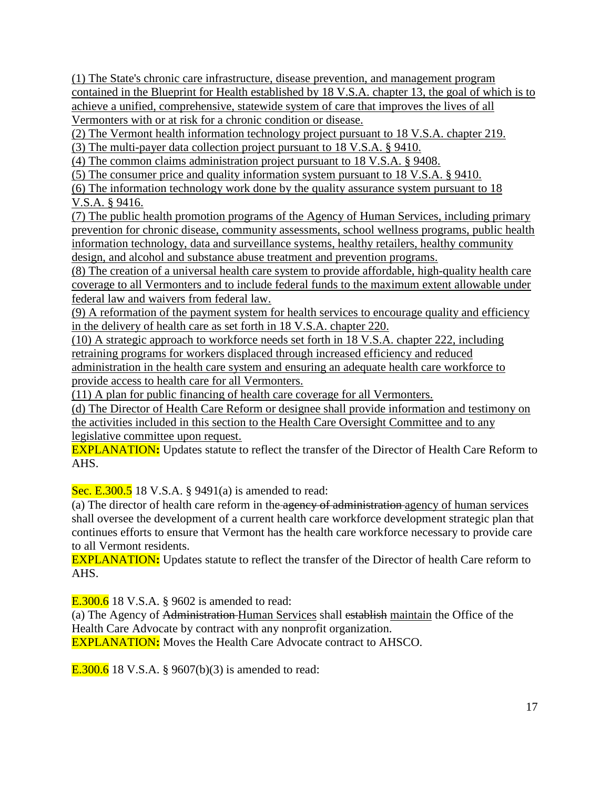(1) The State's chronic care infrastructure, disease prevention, and management program contained in the Blueprint for Health established by 18 V.S.A. chapter 13, the goal of which is to achieve a unified, comprehensive, statewide system of care that improves the lives of all Vermonters with or at risk for a chronic condition or disease.

(2) The Vermont health information technology project pursuant to 18 V.S.A. chapter 219.

(3) The multi-payer data collection project pursuant to 18 V.S.A. § 9410.

(4) The common claims administration project pursuant to 18 V.S.A. § 9408.

(5) The consumer price and quality information system pursuant to 18 V.S.A. § 9410.

(6) The information technology work done by the quality assurance system pursuant to 18 V.S.A. § 9416.

(7) The public health promotion programs of the Agency of Human Services, including primary prevention for chronic disease, community assessments, school wellness programs, public health information technology, data and surveillance systems, healthy retailers, healthy community design, and alcohol and substance abuse treatment and prevention programs.

(8) The creation of a universal health care system to provide affordable, high-quality health care coverage to all Vermonters and to include federal funds to the maximum extent allowable under federal law and waivers from federal law.

(9) A reformation of the payment system for health services to encourage quality and efficiency in the delivery of health care as set forth in 18 V.S.A. chapter 220.

(10) A strategic approach to workforce needs set forth in 18 V.S.A. chapter 222, including retraining programs for workers displaced through increased efficiency and reduced

administration in the health care system and ensuring an adequate health care workforce to provide access to health care for all Vermonters.

(11) A plan for public financing of health care coverage for all Vermonters.

(d) The Director of Health Care Reform or designee shall provide information and testimony on the activities included in this section to the Health Care Oversight Committee and to any legislative committee upon request.

EXPLANATION**:** Updates statute to reflect the transfer of the Director of Health Care Reform to AHS.

Sec. E.300.5 18 V.S.A. § 9491(a) is amended to read:

(a) The director of health care reform in the agency of administration agency of human services shall oversee the development of a current health care workforce development strategic plan that continues efforts to ensure that Vermont has the health care workforce necessary to provide care to all Vermont residents.

EXPLANATION**:** Updates statute to reflect the transfer of the Director of health Care reform to AHS.

**E.300.6** 18 V.S.A. § 9602 is amended to read:

(a) The Agency of Administration Human Services shall establish maintain the Office of the Health Care Advocate by contract with any nonprofit organization.

EXPLANATION**:** Moves the Health Care Advocate contract to AHSCO.

**E.300.6** 18 V.S.A. § 9607(b)(3) is amended to read: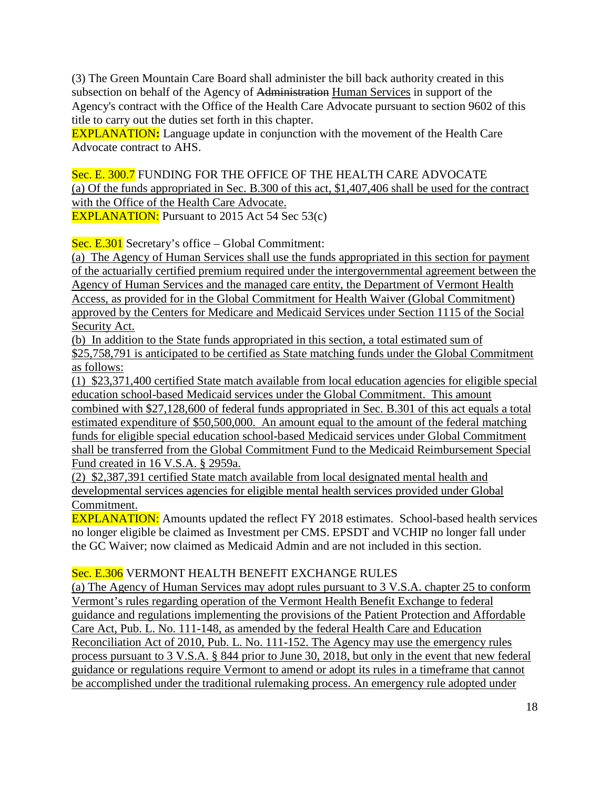(3) The Green Mountain Care Board shall administer the bill back authority created in this subsection on behalf of the Agency of Administration Human Services in support of the Agency's contract with the Office of the Health Care Advocate pursuant to section 9602 of this title to carry out the duties set forth in this chapter.

EXPLANATION**:** Language update in conjunction with the movement of the Health Care Advocate contract to AHS.

Sec. E. 300.7 FUNDING FOR THE OFFICE OF THE HEALTH CARE ADVOCATE (a) Of the funds appropriated in Sec. B.300 of this act, \$1,407,406 shall be used for the contract with the Office of the Health Care Advocate.

EXPLANATION: Pursuant to 2015 Act 54 Sec 53(c)

Sec. E.301 Secretary's office – Global Commitment:

(a) The Agency of Human Services shall use the funds appropriated in this section for payment of the actuarially certified premium required under the intergovernmental agreement between the Agency of Human Services and the managed care entity, the Department of Vermont Health Access, as provided for in the Global Commitment for Health Waiver (Global Commitment) approved by the Centers for Medicare and Medicaid Services under Section 1115 of the Social Security Act.

(b) In addition to the State funds appropriated in this section, a total estimated sum of \$25,758,791 is anticipated to be certified as State matching funds under the Global Commitment as follows:

(1) \$23,371,400 certified State match available from local education agencies for eligible special education school-based Medicaid services under the Global Commitment. This amount combined with \$27,128,600 of federal funds appropriated in Sec. B.301 of this act equals a total estimated expenditure of \$50,500,000. An amount equal to the amount of the federal matching funds for eligible special education school-based Medicaid services under Global Commitment shall be transferred from the Global Commitment Fund to the Medicaid Reimbursement Special Fund created in 16 V.S.A. § 2959a.

(2) \$2,387,391 certified State match available from local designated mental health and developmental services agencies for eligible mental health services provided under Global Commitment.

**EXPLANATION:** Amounts updated the reflect FY 2018 estimates. School-based health services no longer eligible be claimed as Investment per CMS. EPSDT and VCHIP no longer fall under the GC Waiver; now claimed as Medicaid Admin and are not included in this section.

Sec. E.306 VERMONT HEALTH BENEFIT EXCHANGE RULES

(a) The Agency of Human Services may adopt rules pursuant to 3 V.S.A. chapter 25 to conform Vermont's rules regarding operation of the Vermont Health Benefit Exchange to federal guidance and regulations implementing the provisions of the Patient Protection and Affordable Care Act, Pub. L. No. 111-148, as amended by the federal Health Care and Education Reconciliation Act of 2010, Pub. L. No. 111-152. The Agency may use the emergency rules process pursuant to 3 V.S.A. § 844 prior to June 30, 2018, but only in the event that new federal guidance or regulations require Vermont to amend or adopt its rules in a timeframe that cannot be accomplished under the traditional rulemaking process. An emergency rule adopted under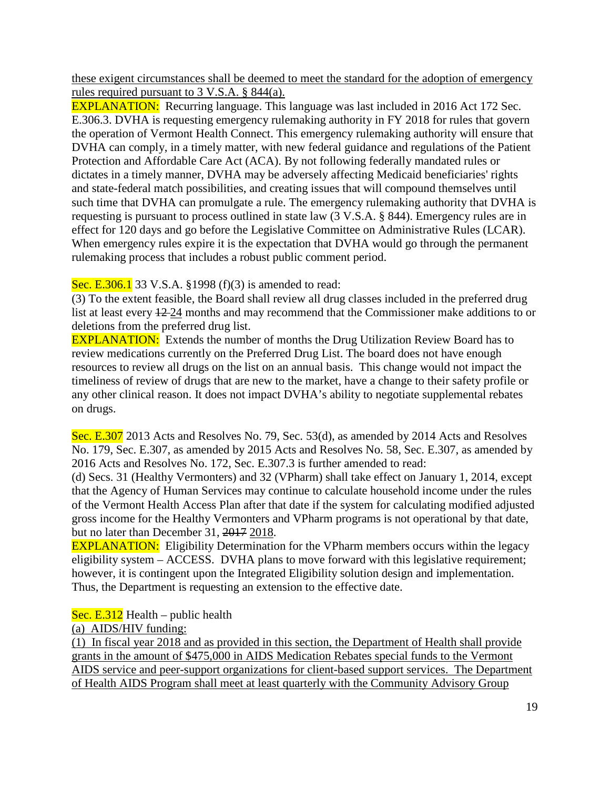these exigent circumstances shall be deemed to meet the standard for the adoption of emergency rules required pursuant to 3 V.S.A. § 844(a).

**EXPLANATION:** Recurring language. This language was last included in 2016 Act 172 Sec. E.306.3. DVHA is requesting emergency rulemaking authority in FY 2018 for rules that govern the operation of Vermont Health Connect. This emergency rulemaking authority will ensure that DVHA can comply, in a timely matter, with new federal guidance and regulations of the Patient Protection and Affordable Care Act (ACA). By not following federally mandated rules or dictates in a timely manner, DVHA may be adversely affecting Medicaid beneficiaries' rights and state-federal match possibilities, and creating issues that will compound themselves until such time that DVHA can promulgate a rule. The emergency rulemaking authority that DVHA is requesting is pursuant to process outlined in state law (3 V.S.A. § 844). Emergency rules are in effect for 120 days and go before the Legislative Committee on Administrative Rules (LCAR). When emergency rules expire it is the expectation that DVHA would go through the permanent rulemaking process that includes a robust public comment period.

Sec. E.306.1 33 V.S.A. §1998 (f)(3) is amended to read:

(3) To the extent feasible, the Board shall review all drug classes included in the preferred drug list at least every 12 24 months and may recommend that the Commissioner make additions to or deletions from the preferred drug list.

**EXPLANATION:** Extends the number of months the Drug Utilization Review Board has to review medications currently on the Preferred Drug List. The board does not have enough resources to review all drugs on the list on an annual basis. This change would not impact the timeliness of review of drugs that are new to the market, have a change to their safety profile or any other clinical reason. It does not impact DVHA's ability to negotiate supplemental rebates on drugs.

Sec. E.307 2013 Acts and Resolves No. 79, Sec. 53(d), as amended by 2014 Acts and Resolves No. 179, Sec. E.307, as amended by 2015 Acts and Resolves No. 58, Sec. E.307, as amended by 2016 Acts and Resolves No. 172, Sec. E.307.3 is further amended to read:

(d) Secs. 31 (Healthy Vermonters) and 32 (VPharm) shall take effect on January 1, 2014, except that the Agency of Human Services may continue to calculate household income under the rules of the Vermont Health Access Plan after that date if the system for calculating modified adjusted gross income for the Healthy Vermonters and VPharm programs is not operational by that date, but no later than December 31, 2017 2018.

**EXPLANATION:** Eligibility Determination for the VPharm members occurs within the legacy eligibility system – ACCESS. DVHA plans to move forward with this legislative requirement; however, it is contingent upon the Integrated Eligibility solution design and implementation. Thus, the Department is requesting an extension to the effective date.

Sec. E.312 Health – public health

(a) AIDS/HIV funding:

(1) In fiscal year 2018 and as provided in this section, the Department of Health shall provide grants in the amount of \$475,000 in AIDS Medication Rebates special funds to the Vermont AIDS service and peer-support organizations for client-based support services. The Department of Health AIDS Program shall meet at least quarterly with the Community Advisory Group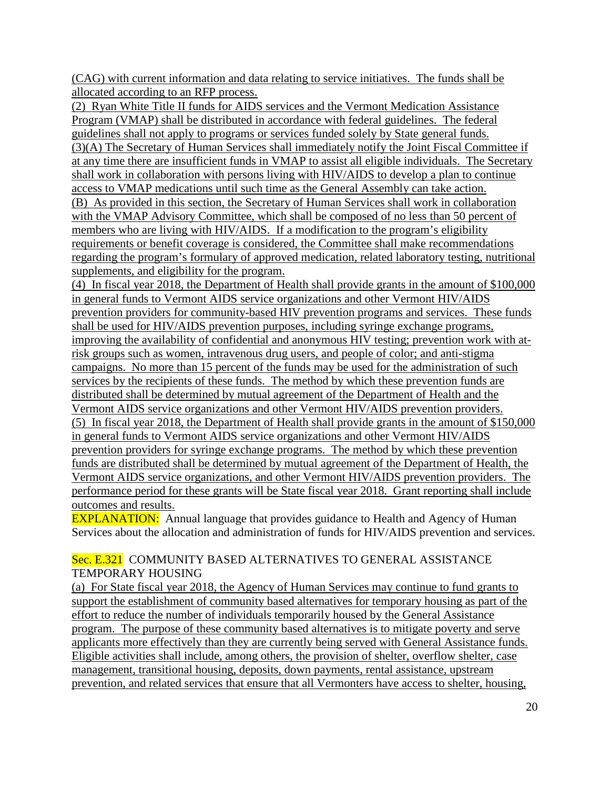(CAG) with current information and data relating to service initiatives. The funds shall be allocated according to an RFP process.

(2) Ryan White Title II funds for AIDS services and the Vermont Medication Assistance Program (VMAP) shall be distributed in accordance with federal guidelines. The federal guidelines shall not apply to programs or services funded solely by State general funds. (3)(A) The Secretary of Human Services shall immediately notify the Joint Fiscal Committee if at any time there are insufficient funds in VMAP to assist all eligible individuals. The Secretary shall work in collaboration with persons living with HIV/AIDS to develop a plan to continue access to VMAP medications until such time as the General Assembly can take action. (B) As provided in this section, the Secretary of Human Services shall work in collaboration

with the VMAP Advisory Committee, which shall be composed of no less than 50 percent of members who are living with HIV/AIDS. If a modification to the program's eligibility requirements or benefit coverage is considered, the Committee shall make recommendations regarding the program's formulary of approved medication, related laboratory testing, nutritional supplements, and eligibility for the program.

(4) In fiscal year 2018, the Department of Health shall provide grants in the amount of \$100,000 in general funds to Vermont AIDS service organizations and other Vermont HIV/AIDS prevention providers for community-based HIV prevention programs and services. These funds shall be used for HIV/AIDS prevention purposes, including syringe exchange programs, improving the availability of confidential and anonymous HIV testing; prevention work with atrisk groups such as women, intravenous drug users, and people of color; and anti-stigma campaigns. No more than 15 percent of the funds may be used for the administration of such services by the recipients of these funds. The method by which these prevention funds are distributed shall be determined by mutual agreement of the Department of Health and the Vermont AIDS service organizations and other Vermont HIV/AIDS prevention providers. (5) In fiscal year 2018, the Department of Health shall provide grants in the amount of \$150,000 in general funds to Vermont AIDS service organizations and other Vermont HIV/AIDS prevention providers for syringe exchange programs. The method by which these prevention funds are distributed shall be determined by mutual agreement of the Department of Health, the Vermont AIDS service organizations, and other Vermont HIV/AIDS prevention providers. The performance period for these grants will be State fiscal year 2018. Grant reporting shall include outcomes and results.

**EXPLANATION:** Annual language that provides guidance to Health and Agency of Human Services about the allocation and administration of funds for HIV/AIDS prevention and services.

## Sec. E.321 COMMUNITY BASED ALTERNATIVES TO GENERAL ASSISTANCE TEMPORARY HOUSING

(a) For State fiscal year 2018, the Agency of Human Services may continue to fund grants to support the establishment of community based alternatives for temporary housing as part of the effort to reduce the number of individuals temporarily housed by the General Assistance program. The purpose of these community based alternatives is to mitigate poverty and serve applicants more effectively than they are currently being served with General Assistance funds. Eligible activities shall include, among others, the provision of shelter, overflow shelter, case management, transitional housing, deposits, down payments, rental assistance, upstream prevention, and related services that ensure that all Vermonters have access to shelter, housing,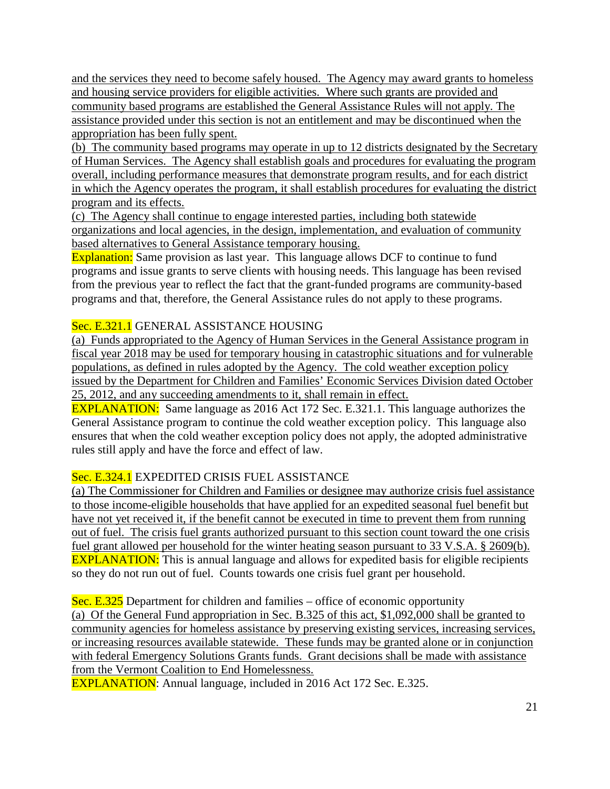and the services they need to become safely housed. The Agency may award grants to homeless and housing service providers for eligible activities. Where such grants are provided and community based programs are established the General Assistance Rules will not apply. The assistance provided under this section is not an entitlement and may be discontinued when the appropriation has been fully spent.

(b) The community based programs may operate in up to 12 districts designated by the Secretary of Human Services. The Agency shall establish goals and procedures for evaluating the program overall, including performance measures that demonstrate program results, and for each district in which the Agency operates the program, it shall establish procedures for evaluating the district program and its effects.

(c) The Agency shall continue to engage interested parties, including both statewide organizations and local agencies, in the design, implementation, and evaluation of community based alternatives to General Assistance temporary housing.

Explanation: Same provision as last year. This language allows DCF to continue to fund programs and issue grants to serve clients with housing needs. This language has been revised from the previous year to reflect the fact that the grant-funded programs are community-based programs and that, therefore, the General Assistance rules do not apply to these programs.

# Sec. E.321.1 GENERAL ASSISTANCE HOUSING

(a) Funds appropriated to the Agency of Human Services in the General Assistance program in fiscal year 2018 may be used for temporary housing in catastrophic situations and for vulnerable populations, as defined in rules adopted by the Agency. The cold weather exception policy issued by the Department for Children and Families' Economic Services Division dated October 25, 2012, and any succeeding amendments to it, shall remain in effect.

EXPLANATION: Same language as 2016 Act 172 Sec. E.321.1. This language authorizes the General Assistance program to continue the cold weather exception policy. This language also ensures that when the cold weather exception policy does not apply, the adopted administrative rules still apply and have the force and effect of law.

# Sec. E.324.1 EXPEDITED CRISIS FUEL ASSISTANCE

(a) The Commissioner for Children and Families or designee may authorize crisis fuel assistance to those income-eligible households that have applied for an expedited seasonal fuel benefit but have not yet received it, if the benefit cannot be executed in time to prevent them from running out of fuel. The crisis fuel grants authorized pursuant to this section count toward the one crisis fuel grant allowed per household for the winter heating season pursuant to 33 V.S.A. § 2609(b). EXPLANATION: This is annual language and allows for expedited basis for eligible recipients so they do not run out of fuel. Counts towards one crisis fuel grant per household.

Sec. E.325 Department for children and families – office of economic opportunity (a) Of the General Fund appropriation in Sec. B.325 of this act, \$1,092,000 shall be granted to community agencies for homeless assistance by preserving existing services, increasing services, or increasing resources available statewide. These funds may be granted alone or in conjunction with federal Emergency Solutions Grants funds. Grant decisions shall be made with assistance from the Vermont Coalition to End Homelessness.

EXPLANATION: Annual language, included in 2016 Act 172 Sec. E.325.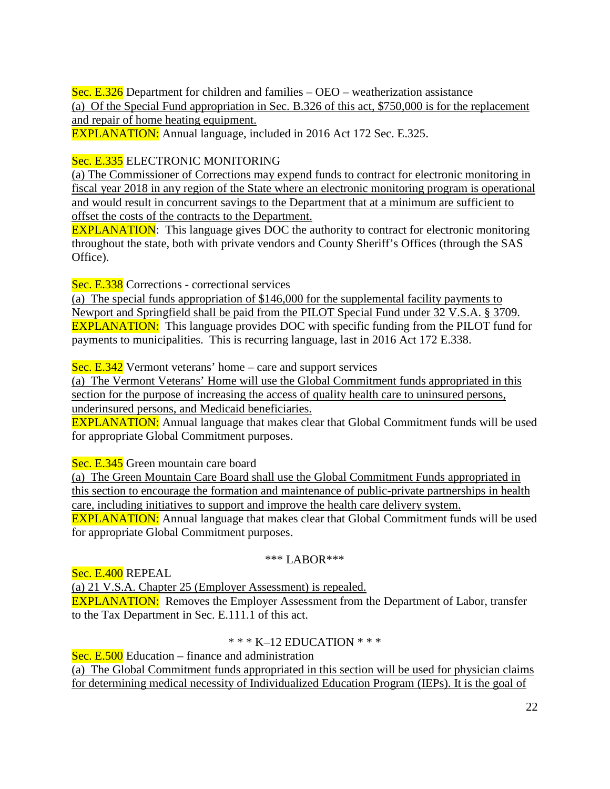Sec. E.326 Department for children and families – OEO – weatherization assistance (a) Of the Special Fund appropriation in Sec. B.326 of this act, \$750,000 is for the replacement and repair of home heating equipment.

EXPLANATION: Annual language, included in 2016 Act 172 Sec. E.325.

# Sec. E.335 ELECTRONIC MONITORING

(a) The Commissioner of Corrections may expend funds to contract for electronic monitoring in fiscal year 2018 in any region of the State where an electronic monitoring program is operational and would result in concurrent savings to the Department that at a minimum are sufficient to offset the costs of the contracts to the Department.

**EXPLANATION:** This language gives DOC the authority to contract for electronic monitoring throughout the state, both with private vendors and County Sheriff's Offices (through the SAS Office).

Sec. E.338 Corrections - correctional services

(a) The special funds appropriation of \$146,000 for the supplemental facility payments to Newport and Springfield shall be paid from the PILOT Special Fund under 32 V.S.A. § 3709. EXPLANATION: This language provides DOC with specific funding from the PILOT fund for payments to municipalities. This is recurring language, last in 2016 Act 172 E.338.

Sec. E.342 Vermont veterans' home – care and support services

(a) The Vermont Veterans' Home will use the Global Commitment funds appropriated in this section for the purpose of increasing the access of quality health care to uninsured persons, underinsured persons, and Medicaid beneficiaries.

EXPLANATION: Annual language that makes clear that Global Commitment funds will be used for appropriate Global Commitment purposes.

Sec. E.345 Green mountain care board

(a) The Green Mountain Care Board shall use the Global Commitment Funds appropriated in this section to encourage the formation and maintenance of public-private partnerships in health care, including initiatives to support and improve the health care delivery system. **EXPLANATION:** Annual language that makes clear that Global Commitment funds will be used for appropriate Global Commitment purposes.

#### \*\*\* LABOR\*\*\*

Sec. E.400 REPEAL

(a) 21 V.S.A. Chapter 25 (Employer Assessment) is repealed.

**EXPLANATION:** Removes the Employer Assessment from the Department of Labor, transfer to the Tax Department in Sec. E.111.1 of this act.

# $*** K-12$  EDUCATION  $***$

Sec. E.500 Education – finance and administration

(a) The Global Commitment funds appropriated in this section will be used for physician claims for determining medical necessity of Individualized Education Program (IEPs). It is the goal of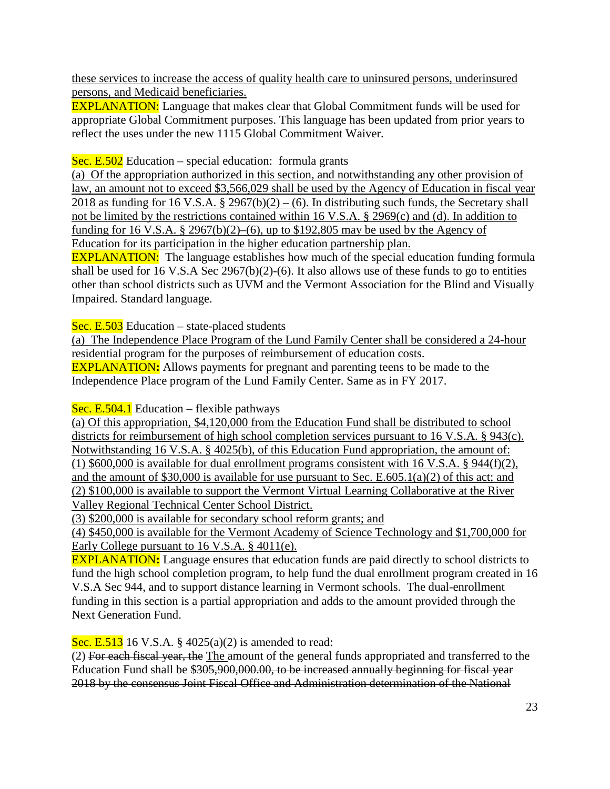these services to increase the access of quality health care to uninsured persons, underinsured persons, and Medicaid beneficiaries.

EXPLANATION: Language that makes clear that Global Commitment funds will be used for appropriate Global Commitment purposes. This language has been updated from prior years to reflect the uses under the new 1115 Global Commitment Waiver.

Sec. E.502 Education – special education: formula grants

(a) Of the appropriation authorized in this section, and notwithstanding any other provision of law, an amount not to exceed \$3,566,029 shall be used by the Agency of Education in fiscal year 2018 as funding for 16 V.S.A. § 2967(b)(2) – (6). In distributing such funds, the Secretary shall not be limited by the restrictions contained within 16 V.S.A. § 2969(c) and (d). In addition to funding for 16 V.S.A.  $\S$  2967(b)(2)–(6), up to  $\S$ 192,805 may be used by the Agency of Education for its participation in the higher education partnership plan.

**EXPLANATION:** The language establishes how much of the special education funding formula shall be used for 16 V.S.A Sec 2967(b)(2)-(6). It also allows use of these funds to go to entities other than school districts such as UVM and the Vermont Association for the Blind and Visually Impaired. Standard language.

Sec. E.503 Education – state-placed students

(a) The Independence Place Program of the Lund Family Center shall be considered a 24-hour residential program for the purposes of reimbursement of education costs.

EXPLANATION**:** Allows payments for pregnant and parenting teens to be made to the Independence Place program of the Lund Family Center. Same as in FY 2017.

Sec. E.504.1 Education – flexible pathways

(a) Of this appropriation, \$4,120,000 from the Education Fund shall be distributed to school districts for reimbursement of high school completion services pursuant to 16 V.S.A. § 943(c). Notwithstanding 16 V.S.A. § 4025(b), of this Education Fund appropriation, the amount of: (1) \$600,000 is available for dual enrollment programs consistent with 16 V.S.A. § 944(f)(2), and the amount of \$30,000 is available for use pursuant to Sec. E.605.1(a)(2) of this act; and (2) \$100,000 is available to support the Vermont Virtual Learning Collaborative at the River Valley Regional Technical Center School District.

(3) \$200,000 is available for secondary school reform grants; and

(4) \$450,000 is available for the Vermont Academy of Science Technology and \$1,700,000 for Early College pursuant to 16 V.S.A. § 4011(e).

EXPLANATION**:** Language ensures that education funds are paid directly to school districts to fund the high school completion program, to help fund the dual enrollment program created in 16 V.S.A Sec 944, and to support distance learning in Vermont schools. The dual-enrollment funding in this section is a partial appropriation and adds to the amount provided through the Next Generation Fund.

**Sec. E.513** 16 V.S.A. § 4025(a)(2) is amended to read:

(2) For each fiscal year, the The amount of the general funds appropriated and transferred to the Education Fund shall be \$305,900,000.00, to be increased annually beginning for fiscal year 2018 by the consensus Joint Fiscal Office and Administration determination of the National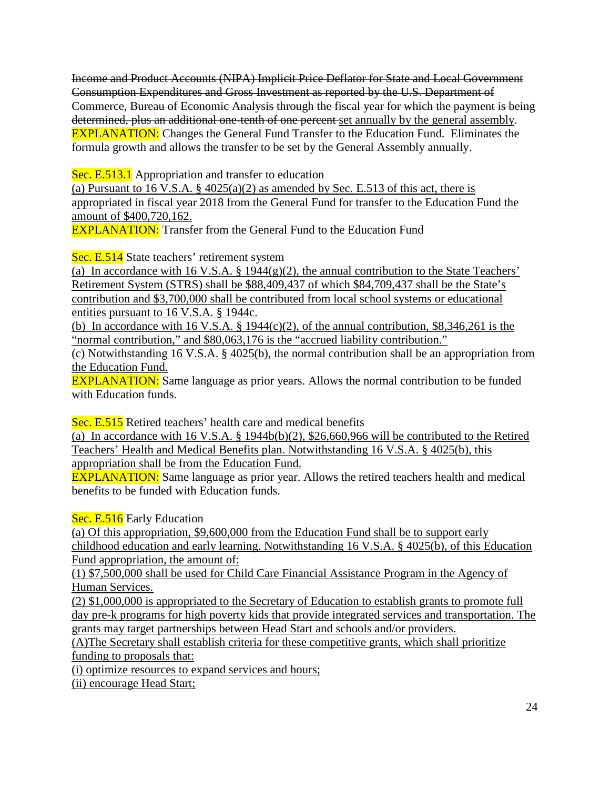Income and Product Accounts (NIPA) Implicit Price Deflator for State and Local Government Consumption Expenditures and Gross Investment as reported by the U.S. Department of Commerce, Bureau of Economic Analysis through the fiscal year for which the payment is being determined, plus an additional one-tenth of one percent set annually by the general assembly. EXPLANATION: Changes the General Fund Transfer to the Education Fund. Eliminates the formula growth and allows the transfer to be set by the General Assembly annually.

Sec. E.513.1 Appropriation and transfer to education

(a) Pursuant to 16 V.S.A.  $\S$  4025(a)(2) as amended by Sec. E.513 of this act, there is appropriated in fiscal year 2018 from the General Fund for transfer to the Education Fund the amount of \$400,720,162.

**EXPLANATION:** Transfer from the General Fund to the Education Fund

Sec. E.514 State teachers' retirement system

(a) In accordance with 16 V.S.A. § 1944(g)(2), the annual contribution to the State Teachers' Retirement System (STRS) shall be \$88,409,437 of which \$84,709,437 shall be the State's contribution and \$3,700,000 shall be contributed from local school systems or educational entities pursuant to 16 V.S.A. § 1944c.

(b) In accordance with 16 V.S.A.  $\S$  1944(c)(2), of the annual contribution, \$8,346,261 is the "normal contribution," and \$80,063,176 is the "accrued liability contribution."

(c) Notwithstanding 16 V.S.A. § 4025(b), the normal contribution shall be an appropriation from the Education Fund.

EXPLANATION: Same language as prior years. Allows the normal contribution to be funded with Education funds.

Sec. E.515 Retired teachers' health care and medical benefits

(a) In accordance with 16 V.S.A. § 1944b(b)(2), \$26,660,966 will be contributed to the Retired Teachers' Health and Medical Benefits plan. Notwithstanding 16 V.S.A. § 4025(b), this appropriation shall be from the Education Fund.

EXPLANATION: Same language as prior year. Allows the retired teachers health and medical benefits to be funded with Education funds.

Sec. E.516 Early Education

(a) Of this appropriation, \$9,600,000 from the Education Fund shall be to support early childhood education and early learning. Notwithstanding 16 V.S.A. § 4025(b), of this Education Fund appropriation, the amount of:

(1) \$7,500,000 shall be used for Child Care Financial Assistance Program in the Agency of Human Services.

(2) \$1,000,000 is appropriated to the Secretary of Education to establish grants to promote full day pre-k programs for high poverty kids that provide integrated services and transportation. The grants may target partnerships between Head Start and schools and/or providers.

(A)The Secretary shall establish criteria for these competitive grants, which shall prioritize funding to proposals that:

(i) optimize resources to expand services and hours;

(ii) encourage Head Start;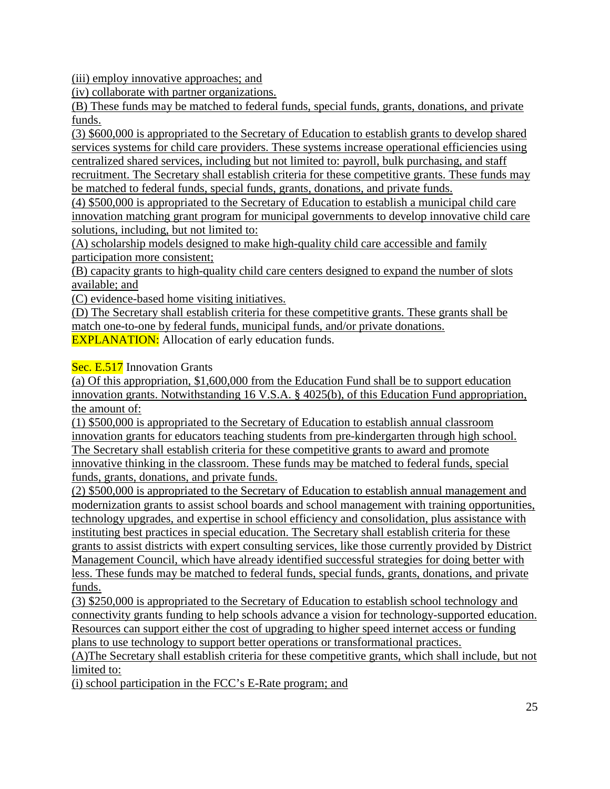(iii) employ innovative approaches; and

(iv) collaborate with partner organizations.

(B) These funds may be matched to federal funds, special funds, grants, donations, and private funds.

(3) \$600,000 is appropriated to the Secretary of Education to establish grants to develop shared services systems for child care providers. These systems increase operational efficiencies using centralized shared services, including but not limited to: payroll, bulk purchasing, and staff recruitment. The Secretary shall establish criteria for these competitive grants. These funds may be matched to federal funds, special funds, grants, donations, and private funds.

(4) \$500,000 is appropriated to the Secretary of Education to establish a municipal child care innovation matching grant program for municipal governments to develop innovative child care solutions, including, but not limited to:

(A) scholarship models designed to make high-quality child care accessible and family participation more consistent;

(B) capacity grants to high-quality child care centers designed to expand the number of slots available; and

(C) evidence-based home visiting initiatives.

(D) The Secretary shall establish criteria for these competitive grants. These grants shall be match one-to-one by federal funds, municipal funds, and/or private donations. **EXPLANATION:** Allocation of early education funds.

Sec. E.517 Innovation Grants

(a) Of this appropriation, \$1,600,000 from the Education Fund shall be to support education innovation grants. Notwithstanding 16 V.S.A. § 4025(b), of this Education Fund appropriation, the amount of:

(1) \$500,000 is appropriated to the Secretary of Education to establish annual classroom innovation grants for educators teaching students from pre-kindergarten through high school. The Secretary shall establish criteria for these competitive grants to award and promote innovative thinking in the classroom. These funds may be matched to federal funds, special funds, grants, donations, and private funds.

(2) \$500,000 is appropriated to the Secretary of Education to establish annual management and modernization grants to assist school boards and school management with training opportunities, technology upgrades, and expertise in school efficiency and consolidation, plus assistance with instituting best practices in special education. The Secretary shall establish criteria for these grants to assist districts with expert consulting services, like those currently provided by District Management Council, which have already identified successful strategies for doing better with less. These funds may be matched to federal funds, special funds, grants, donations, and private funds.

(3) \$250,000 is appropriated to the Secretary of Education to establish school technology and connectivity grants funding to help schools advance a vision for technology-supported education. Resources can support either the cost of upgrading to higher speed internet access or funding plans to use technology to support better operations or transformational practices.

(A)The Secretary shall establish criteria for these competitive grants, which shall include, but not limited to:

(i) school participation in the FCC's E-Rate program; and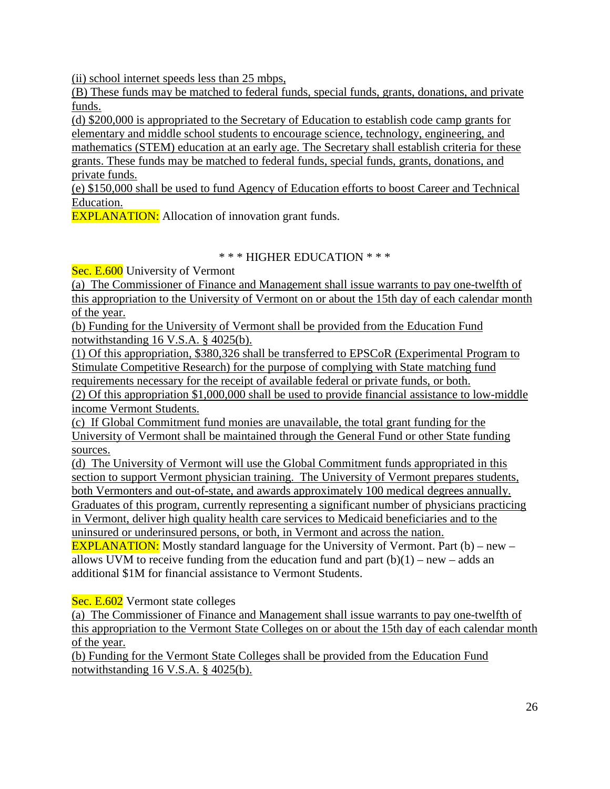(ii) school internet speeds less than 25 mbps,

(B) These funds may be matched to federal funds, special funds, grants, donations, and private funds.

(d) \$200,000 is appropriated to the Secretary of Education to establish code camp grants for elementary and middle school students to encourage science, technology, engineering, and mathematics (STEM) education at an early age. The Secretary shall establish criteria for these grants. These funds may be matched to federal funds, special funds, grants, donations, and

private funds. (e) \$150,000 shall be used to fund Agency of Education efforts to boost Career and Technical

Education.

**EXPLANATION:** Allocation of innovation grant funds.

## \* \* \* HIGHER EDUCATION \* \* \*

Sec. E.600 University of Vermont

(a) The Commissioner of Finance and Management shall issue warrants to pay one-twelfth of this appropriation to the University of Vermont on or about the 15th day of each calendar month of the year.

(b) Funding for the University of Vermont shall be provided from the Education Fund notwithstanding 16 V.S.A. § 4025(b).

(1) Of this appropriation*,* \$380,326 shall be transferred to EPSCoR (Experimental Program to Stimulate Competitive Research) for the purpose of complying with State matching fund requirements necessary for the receipt of available federal or private funds, or both.

(2) Of this appropriation \$1,000,000 shall be used to provide financial assistance to low-middle income Vermont Students.

(c) If Global Commitment fund monies are unavailable, the total grant funding for the University of Vermont shall be maintained through the General Fund or other State funding sources.

(d) The University of Vermont will use the Global Commitment funds appropriated in this section to support Vermont physician training. The University of Vermont prepares students, both Vermonters and out-of-state, and awards approximately 100 medical degrees annually. Graduates of this program, currently representing a significant number of physicians practicing in Vermont, deliver high quality health care services to Medicaid beneficiaries and to the uninsured or underinsured persons, or both, in Vermont and across the nation.

**EXPLANATION:** Mostly standard language for the University of Vermont. Part  $(b)$  – new – allows UVM to receive funding from the education fund and part  $(b)(1)$  – new – adds an additional \$1M for financial assistance to Vermont Students.

Sec. E.602 Vermont state colleges

(a) The Commissioner of Finance and Management shall issue warrants to pay one-twelfth of this appropriation to the Vermont State Colleges on or about the 15th day of each calendar month of the year.

(b) Funding for the Vermont State Colleges shall be provided from the Education Fund notwithstanding 16 V.S.A. § 4025(b).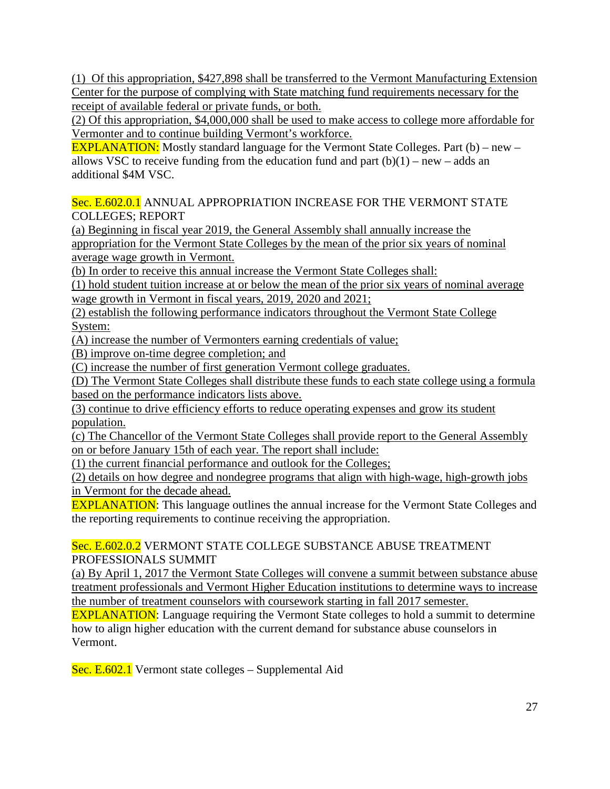(1) Of this appropriation*,* \$427,898 shall be transferred to the Vermont Manufacturing Extension Center for the purpose of complying with State matching fund requirements necessary for the receipt of available federal or private funds, or both.

(2) Of this appropriation, \$4,000,000 shall be used to make access to college more affordable for Vermonter and to continue building Vermont's workforce.

**EXPLANATION:** Mostly standard language for the Vermont State Colleges. Part (b) – new – allows VSC to receive funding from the education fund and part  $(b)(1)$  – new – adds an additional \$4M VSC.

Sec. E.602.0.1 ANNUAL APPROPRIATION INCREASE FOR THE VERMONT STATE COLLEGES; REPORT

(a) Beginning in fiscal year 2019, the General Assembly shall annually increase the appropriation for the Vermont State Colleges by the mean of the prior six years of nominal average wage growth in Vermont.

(b) In order to receive this annual increase the Vermont State Colleges shall:

(1) hold student tuition increase at or below the mean of the prior six years of nominal average wage growth in Vermont in fiscal years, 2019, 2020 and 2021;

(2) establish the following performance indicators throughout the Vermont State College System:

(A) increase the number of Vermonters earning credentials of value;

(B) improve on-time degree completion; and

(C) increase the number of first generation Vermont college graduates.

(D) The Vermont State Colleges shall distribute these funds to each state college using a formula based on the performance indicators lists above.

(3) continue to drive efficiency efforts to reduce operating expenses and grow its student population.

(c) The Chancellor of the Vermont State Colleges shall provide report to the General Assembly on or before January 15th of each year. The report shall include:

(1) the current financial performance and outlook for the Colleges;

(2) details on how degree and nondegree programs that align with high-wage, high-growth jobs in Vermont for the decade ahead.

EXPLANATION: This language outlines the annual increase for the Vermont State Colleges and the reporting requirements to continue receiving the appropriation.

## Sec. E.602.0.2 VERMONT STATE COLLEGE SUBSTANCE ABUSE TREATMENT PROFESSIONALS SUMMIT

(a) By April 1, 2017 the Vermont State Colleges will convene a summit between substance abuse treatment professionals and Vermont Higher Education institutions to determine ways to increase the number of treatment counselors with coursework starting in fall 2017 semester.

**EXPLANATION:** Language requiring the Vermont State colleges to hold a summit to determine how to align higher education with the current demand for substance abuse counselors in Vermont.

Sec. E.602.1 Vermont state colleges – Supplemental Aid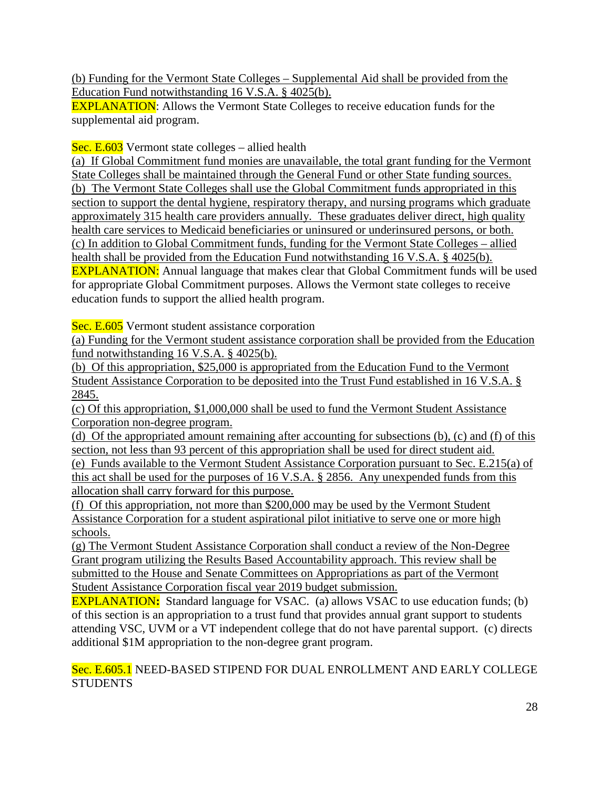(b) Funding for the Vermont State Colleges – Supplemental Aid shall be provided from the Education Fund notwithstanding 16 V.S.A. § 4025(b).

EXPLANATION: Allows the Vermont State Colleges to receive education funds for the supplemental aid program.

Sec. E.603 Vermont state colleges – allied health

(a) If Global Commitment fund monies are unavailable, the total grant funding for the Vermont State Colleges shall be maintained through the General Fund or other State funding sources. (b) The Vermont State Colleges shall use the Global Commitment funds appropriated in this section to support the dental hygiene, respiratory therapy, and nursing programs which graduate approximately 315 health care providers annually. These graduates deliver direct, high quality health care services to Medicaid beneficiaries or uninsured or underinsured persons, or both. (c) In addition to Global Commitment funds, funding for the Vermont State Colleges – allied health shall be provided from the Education Fund notwithstanding 16 V.S.A. § 4025(b). EXPLANATION: Annual language that makes clear that Global Commitment funds will be used for appropriate Global Commitment purposes. Allows the Vermont state colleges to receive education funds to support the allied health program.

Sec. E.605 Vermont student assistance corporation

(a) Funding for the Vermont student assistance corporation shall be provided from the Education fund notwithstanding 16 V.S.A. § 4025(b).

(b) Of this appropriation, \$25,000 is appropriated from the Education Fund to the Vermont Student Assistance Corporation to be deposited into the Trust Fund established in 16 V.S.A. § 2845.

(c) Of this appropriation, \$1,000,000 shall be used to fund the Vermont Student Assistance Corporation non-degree program.

(d) Of the appropriated amount remaining after accounting for subsections (b), (c) and (f) of this section, not less than 93 percent of this appropriation shall be used for direct student aid.

(e) Funds available to the Vermont Student Assistance Corporation pursuant to Sec. E.215(a) of this act shall be used for the purposes of 16 V.S.A. § 2856. Any unexpended funds from this allocation shall carry forward for this purpose.

(f) Of this appropriation, not more than \$200,000 may be used by the Vermont Student Assistance Corporation for a student aspirational pilot initiative to serve one or more high schools.

(g) The Vermont Student Assistance Corporation shall conduct a review of the Non-Degree Grant program utilizing the Results Based Accountability approach. This review shall be submitted to the House and Senate Committees on Appropriations as part of the Vermont Student Assistance Corporation fiscal year 2019 budget submission.

EXPLANATION**:** Standard language for VSAC. (a) allows VSAC to use education funds; (b) of this section is an appropriation to a trust fund that provides annual grant support to students attending VSC, UVM or a VT independent college that do not have parental support. (c) directs additional \$1M appropriation to the non-degree grant program.

Sec. E.605.1 NEED-BASED STIPEND FOR DUAL ENROLLMENT AND EARLY COLLEGE **STUDENTS**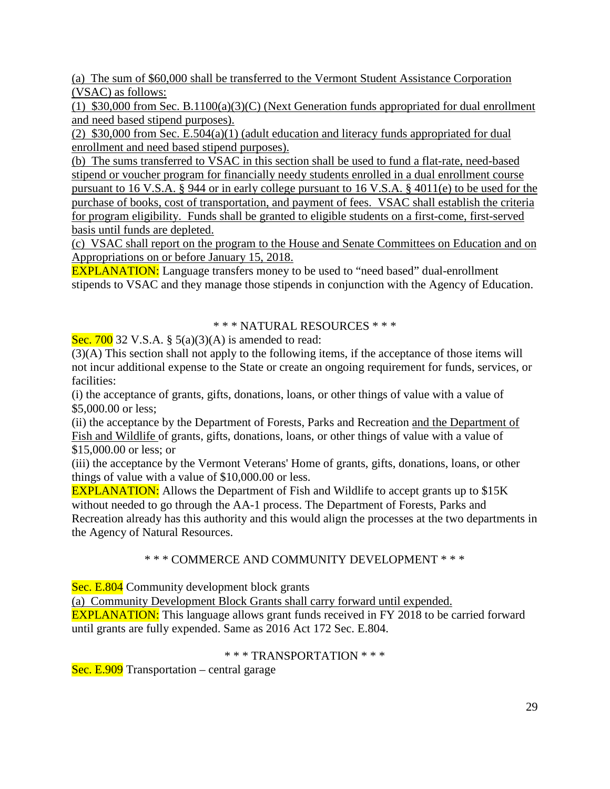(a) The sum of \$60,000 shall be transferred to the Vermont Student Assistance Corporation (VSAC) as follows:

(1) \$30,000 from Sec. B.1100(a)(3)(C) (Next Generation funds appropriated for dual enrollment and need based stipend purposes).

(2) \$30,000 from Sec. E.504(a)(1) (adult education and literacy funds appropriated for dual enrollment and need based stipend purposes).

(b) The sums transferred to VSAC in this section shall be used to fund a flat-rate, need-based stipend or voucher program for financially needy students enrolled in a dual enrollment course pursuant to 16 V.S.A. § 944 or in early college pursuant to 16 V.S.A. § 4011(e) to be used for the purchase of books, cost of transportation, and payment of fees. VSAC shall establish the criteria for program eligibility. Funds shall be granted to eligible students on a first-come, first-served basis until funds are depleted.

(c) VSAC shall report on the program to the House and Senate Committees on Education and on Appropriations on or before January 15, 2018.

EXPLANATION: Language transfers money to be used to "need based" dual-enrollment stipends to VSAC and they manage those stipends in conjunction with the Agency of Education.

#### \* \* \* NATURAL RESOURCES \* \* \*

Sec. 700 32 V.S.A. §  $5(a)(3)(A)$  is amended to read:

(3)(A) This section shall not apply to the following items, if the acceptance of those items will not incur additional expense to the State or create an ongoing requirement for funds, services, or facilities:

(i) the acceptance of grants, gifts, donations, loans, or other things of value with a value of \$5,000.00 or less;

(ii) the acceptance by the Department of Forests, Parks and Recreation and the Department of Fish and Wildlife of grants, gifts, donations, loans, or other things of value with a value of \$15,000.00 or less; or

(iii) the acceptance by the Vermont Veterans' Home of grants, gifts, donations, loans, or other things of value with a value of \$10,000.00 or less.

EXPLANATION: Allows the Department of Fish and Wildlife to accept grants up to \$15K without needed to go through the AA-1 process. The Department of Forests, Parks and Recreation already has this authority and this would align the processes at the two departments in the Agency of Natural Resources.

#### \* \* \* COMMERCE AND COMMUNITY DEVELOPMENT \* \* \*

Sec. E.804 Community development block grants

(a) Community Development Block Grants shall carry forward until expended.

EXPLANATION: This language allows grant funds received in FY 2018 to be carried forward until grants are fully expended. Same as 2016 Act 172 Sec. E.804.

#### \* \* \* TRANSPORTATION \* \* \*

Sec. E.909 Transportation – central garage